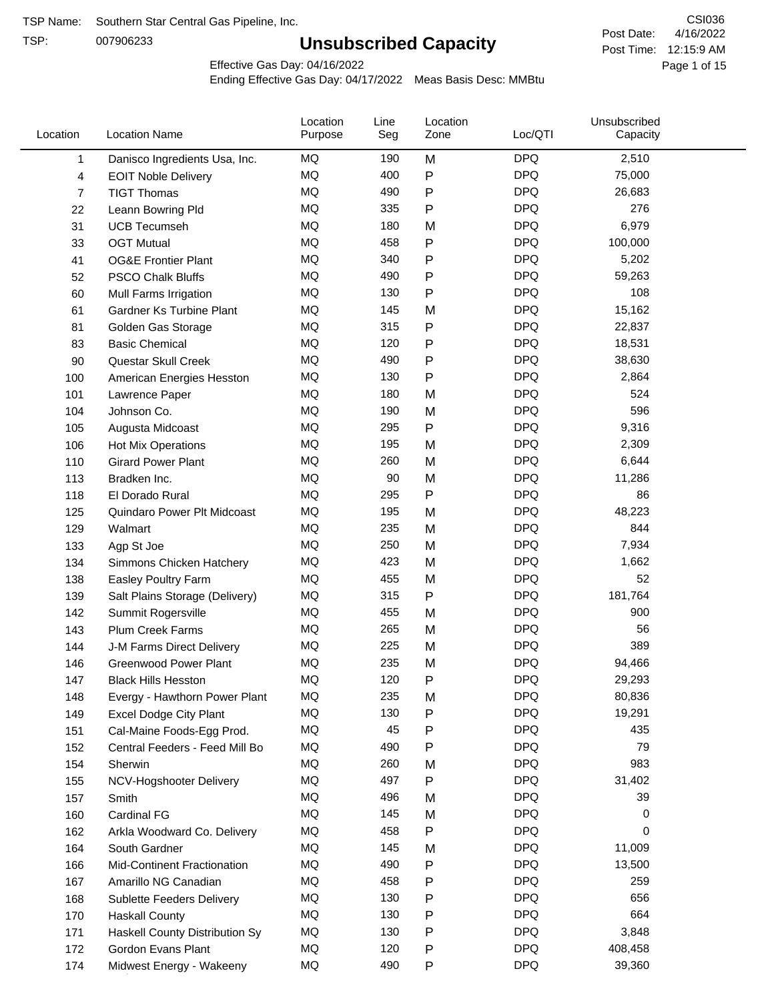TSP:

# **Unsubscribed Capacity**

4/16/2022 Page 1 of 15 Post Time: 12:15:9 AM CSI036 Post Date:

Effective Gas Day: 04/16/2022

| Location | <b>Location Name</b>               | Location<br>Purpose | Line<br>Seg | Location<br>Zone | Loc/QTI    | Unsubscribed<br>Capacity |  |
|----------|------------------------------------|---------------------|-------------|------------------|------------|--------------------------|--|
| 1        | Danisco Ingredients Usa, Inc.      | MQ                  | 190         | M                | <b>DPQ</b> | 2,510                    |  |
| 4        | <b>EOIT Noble Delivery</b>         | MQ                  | 400         | $\mathsf{P}$     | <b>DPQ</b> | 75,000                   |  |
| 7        | <b>TIGT Thomas</b>                 | <b>MQ</b>           | 490         | ${\sf P}$        | <b>DPQ</b> | 26,683                   |  |
| 22       | Leann Bowring Pld                  | MQ                  | 335         | $\mathsf{P}$     | <b>DPQ</b> | 276                      |  |
| 31       | <b>UCB Tecumseh</b>                | <b>MQ</b>           | 180         | M                | <b>DPQ</b> | 6,979                    |  |
| 33       | <b>OGT Mutual</b>                  | <b>MQ</b>           | 458         | $\mathsf{P}$     | <b>DPQ</b> | 100,000                  |  |
| 41       | <b>OG&amp;E Frontier Plant</b>     | MQ                  | 340         | $\mathsf{P}$     | <b>DPQ</b> | 5,202                    |  |
| 52       | <b>PSCO Chalk Bluffs</b>           | MQ                  | 490         | $\mathsf{P}$     | <b>DPQ</b> | 59,263                   |  |
| 60       | Mull Farms Irrigation              | MQ                  | 130         | P                | <b>DPQ</b> | 108                      |  |
| 61       | Gardner Ks Turbine Plant           | <b>MQ</b>           | 145         | M                | <b>DPQ</b> | 15,162                   |  |
| 81       | Golden Gas Storage                 | MQ                  | 315         | ${\sf P}$        | <b>DPQ</b> | 22,837                   |  |
| 83       | <b>Basic Chemical</b>              | MQ                  | 120         | ${\sf P}$        | <b>DPQ</b> | 18,531                   |  |
| 90       | Questar Skull Creek                | MQ                  | 490         | P                | <b>DPQ</b> | 38,630                   |  |
| 100      | American Energies Hesston          | MQ                  | 130         | $\mathsf{P}$     | <b>DPQ</b> | 2,864                    |  |
| 101      | Lawrence Paper                     | <b>MQ</b>           | 180         | M                | <b>DPQ</b> | 524                      |  |
| 104      | Johnson Co.                        | <b>MQ</b>           | 190         | M                | <b>DPQ</b> | 596                      |  |
| 105      | Augusta Midcoast                   | <b>MQ</b>           | 295         | $\mathsf{P}$     | <b>DPQ</b> | 9,316                    |  |
| 106      | Hot Mix Operations                 | MQ                  | 195         | M                | <b>DPQ</b> | 2,309                    |  |
| 110      | <b>Girard Power Plant</b>          | <b>MQ</b>           | 260         | M                | <b>DPQ</b> | 6,644                    |  |
| 113      | Bradken Inc.                       | MQ                  | 90          | M                | <b>DPQ</b> | 11,286                   |  |
| 118      | El Dorado Rural                    | MQ                  | 295         | $\mathsf{P}$     | <b>DPQ</b> | 86                       |  |
| 125      | Quindaro Power Plt Midcoast        | MQ                  | 195         | M                | <b>DPQ</b> | 48,223                   |  |
| 129      | Walmart                            | <b>MQ</b>           | 235         | M                | <b>DPQ</b> | 844                      |  |
| 133      | Agp St Joe                         | <b>MQ</b>           | 250         | M                | <b>DPQ</b> | 7,934                    |  |
| 134      | Simmons Chicken Hatchery           | MQ                  | 423         | M                | <b>DPQ</b> | 1,662                    |  |
| 138      | Easley Poultry Farm                | MQ                  | 455         | M                | <b>DPQ</b> | 52                       |  |
| 139      | Salt Plains Storage (Delivery)     | MQ                  | 315         | $\mathsf{P}$     | <b>DPQ</b> | 181,764                  |  |
| 142      | Summit Rogersville                 | MQ                  | 455         | M                | <b>DPQ</b> | 900                      |  |
| 143      | <b>Plum Creek Farms</b>            | MQ                  | 265         | M                | <b>DPQ</b> | 56                       |  |
| 144      | J-M Farms Direct Delivery          | MQ                  | 225         | M                | <b>DPQ</b> | 389                      |  |
| 146      | <b>Greenwood Power Plant</b>       | <b>MQ</b>           | 235         | M                | <b>DPQ</b> | 94,466                   |  |
| 147      | <b>Black Hills Hesston</b>         | MQ                  | 120         | P                | <b>DPQ</b> | 29,293                   |  |
| 148      | Evergy - Hawthorn Power Plant      | MQ                  | 235         | M                | <b>DPQ</b> | 80,836                   |  |
| 149      | <b>Excel Dodge City Plant</b>      | MQ                  | 130         | $\mathsf{P}$     | <b>DPQ</b> | 19,291                   |  |
| 151      | Cal-Maine Foods-Egg Prod.          | MQ                  | 45          | P                | <b>DPQ</b> | 435                      |  |
| 152      | Central Feeders - Feed Mill Bo     | MQ                  | 490         | P                | <b>DPQ</b> | 79                       |  |
| 154      | Sherwin                            | MQ                  | 260         | M                | <b>DPQ</b> | 983                      |  |
| 155      | NCV-Hogshooter Delivery            | MQ                  | 497         | $\mathsf{P}$     | <b>DPQ</b> | 31,402                   |  |
| 157      | Smith                              | MQ                  | 496         | M                | <b>DPQ</b> | 39                       |  |
| 160      | Cardinal FG                        | MQ                  | 145         | M                | <b>DPQ</b> | 0                        |  |
| 162      | Arkla Woodward Co. Delivery        | MQ                  | 458         | $\mathsf{P}$     | <b>DPQ</b> | 0                        |  |
| 164      | South Gardner                      | MQ                  | 145         | M                | <b>DPQ</b> | 11,009                   |  |
| 166      | <b>Mid-Continent Fractionation</b> | MQ                  | 490         | $\mathsf{P}$     | <b>DPQ</b> | 13,500                   |  |
| 167      | Amarillo NG Canadian               | MQ                  | 458         | $\mathsf{P}$     | <b>DPQ</b> | 259                      |  |
| 168      | Sublette Feeders Delivery          | MQ                  | 130         | P                | <b>DPQ</b> | 656                      |  |
| 170      | <b>Haskall County</b>              | MQ                  | 130         | P                | <b>DPQ</b> | 664                      |  |
| 171      | Haskell County Distribution Sy     | MQ                  | 130         | P                | <b>DPQ</b> | 3,848                    |  |
| 172      | Gordon Evans Plant                 | MQ                  | 120         | P                | <b>DPQ</b> | 408,458                  |  |
| 174      | Midwest Energy - Wakeeny           | MQ                  | 490         | $\mathsf{P}$     | <b>DPQ</b> | 39,360                   |  |
|          |                                    |                     |             |                  |            |                          |  |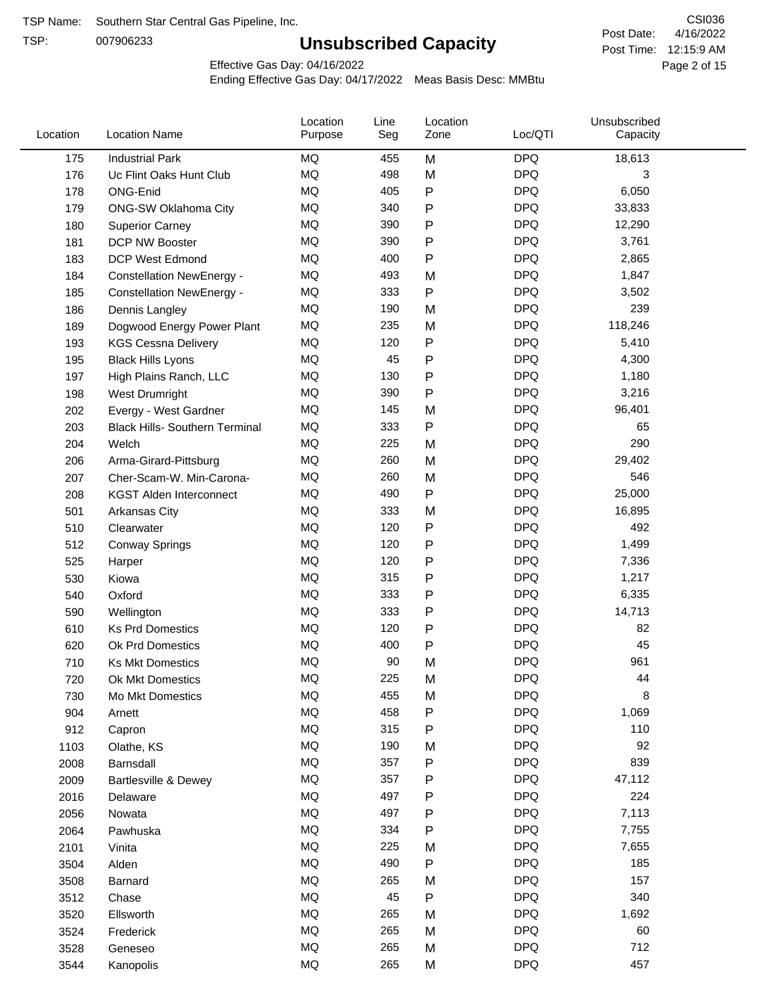TSP:

# **Unsubscribed Capacity**

4/16/2022 Page 2 of 15 Post Time: 12:15:9 AM CSI036 Post Date:

Effective Gas Day: 04/16/2022

| Location | <b>Location Name</b>                  | Location<br>Purpose | Line<br>Seg | Location<br>Zone | Loc/QTI    | Unsubscribed<br>Capacity |  |
|----------|---------------------------------------|---------------------|-------------|------------------|------------|--------------------------|--|
| 175      | <b>Industrial Park</b>                | MQ                  | 455         | M                | <b>DPQ</b> | 18,613                   |  |
| 176      | Uc Flint Oaks Hunt Club               | <b>MQ</b>           | 498         | M                | <b>DPQ</b> | 3                        |  |
| 178      | ONG-Enid                              | MQ                  | 405         | P                | <b>DPQ</b> | 6,050                    |  |
| 179      | ONG-SW Oklahoma City                  | MQ                  | 340         | P                | <b>DPQ</b> | 33,833                   |  |
| 180      | <b>Superior Carney</b>                | <b>MQ</b>           | 390         | P                | <b>DPQ</b> | 12,290                   |  |
| 181      | DCP NW Booster                        | <b>MQ</b>           | 390         | P                | <b>DPQ</b> | 3,761                    |  |
| 183      | <b>DCP West Edmond</b>                | <b>MQ</b>           | 400         | P                | <b>DPQ</b> | 2,865                    |  |
| 184      | <b>Constellation NewEnergy -</b>      | MQ                  | 493         | M                | <b>DPQ</b> | 1,847                    |  |
| 185      | <b>Constellation NewEnergy -</b>      | MQ                  | 333         | P                | <b>DPQ</b> | 3,502                    |  |
| 186      | Dennis Langley                        | MQ                  | 190         | M                | <b>DPQ</b> | 239                      |  |
| 189      | Dogwood Energy Power Plant            | MQ                  | 235         | M                | <b>DPQ</b> | 118,246                  |  |
| 193      | <b>KGS Cessna Delivery</b>            | MQ                  | 120         | P                | <b>DPQ</b> | 5,410                    |  |
| 195      | <b>Black Hills Lyons</b>              | <b>MQ</b>           | 45          | P                | <b>DPQ</b> | 4,300                    |  |
| 197      | High Plains Ranch, LLC                | <b>MQ</b>           | 130         | P                | <b>DPQ</b> | 1,180                    |  |
| 198      | West Drumright                        | <b>MQ</b>           | 390         | P                | <b>DPQ</b> | 3,216                    |  |
| 202      | Evergy - West Gardner                 | <b>MQ</b>           | 145         | M                | <b>DPQ</b> | 96,401                   |  |
| 203      | <b>Black Hills- Southern Terminal</b> | <b>MQ</b>           | 333         | P                | <b>DPQ</b> | 65                       |  |
| 204      | Welch                                 | MQ                  | 225         | M                | <b>DPQ</b> | 290                      |  |
| 206      | Arma-Girard-Pittsburg                 | <b>MQ</b>           | 260         | M                | <b>DPQ</b> | 29,402                   |  |
| 207      | Cher-Scam-W. Min-Carona-              | MQ                  | 260         | M                | <b>DPQ</b> | 546                      |  |
| 208      | <b>KGST Alden Interconnect</b>        | <b>MQ</b>           | 490         | P                | <b>DPQ</b> | 25,000                   |  |
| 501      | Arkansas City                         | <b>MQ</b>           | 333         | M                | <b>DPQ</b> | 16,895                   |  |
| 510      | Clearwater                            | <b>MQ</b>           | 120         | P                | <b>DPQ</b> | 492                      |  |
| 512      | <b>Conway Springs</b>                 | <b>MQ</b>           | 120         | P                | <b>DPQ</b> | 1,499                    |  |
| 525      | Harper                                | <b>MQ</b>           | 120         | P                | <b>DPQ</b> | 7,336                    |  |
| 530      | Kiowa                                 | <b>MQ</b>           | 315         | P                | <b>DPQ</b> | 1,217                    |  |
| 540      | Oxford                                | <b>MQ</b>           | 333         | P                | <b>DPQ</b> | 6,335                    |  |
| 590      | Wellington                            | <b>MQ</b>           | 333         | P                | <b>DPQ</b> | 14,713                   |  |
| 610      | <b>Ks Prd Domestics</b>               | <b>MQ</b>           | 120         | P                | <b>DPQ</b> | 82                       |  |
| 620      | Ok Prd Domestics                      | <b>MQ</b>           | 400         | P                | <b>DPQ</b> | 45                       |  |
| 710      | <b>Ks Mkt Domestics</b>               | <b>MQ</b>           | 90          | M                | <b>DPQ</b> | 961                      |  |
| 720      | Ok Mkt Domestics                      | MQ                  | 225         | M                | <b>DPQ</b> | 44                       |  |
| 730      | Mo Mkt Domestics                      | MQ                  | 455         | M                | <b>DPQ</b> | 8                        |  |
| 904      | Arnett                                | MQ                  | 458         | P                | <b>DPQ</b> | 1,069                    |  |
| 912      | Capron                                | <b>MQ</b>           | 315         | P                | <b>DPQ</b> | 110                      |  |
| 1103     | Olathe, KS                            | MQ                  | 190         | M                | <b>DPQ</b> | 92                       |  |
| 2008     | Barnsdall                             | MQ                  | 357         | Ρ                | <b>DPQ</b> | 839                      |  |
| 2009     | Bartlesville & Dewey                  | MQ                  | 357         | P                | <b>DPQ</b> | 47,112                   |  |
| 2016     | Delaware                              | MQ                  | 497         | P                | <b>DPQ</b> | 224                      |  |
| 2056     | Nowata                                | MQ                  | 497         | Ρ                | <b>DPQ</b> | 7,113                    |  |
| 2064     | Pawhuska                              | MQ                  | 334         | Ρ                | <b>DPQ</b> | 7,755                    |  |
| 2101     | Vinita                                | MQ                  | 225         | M                | <b>DPQ</b> | 7,655                    |  |
| 3504     | Alden                                 | MQ                  | 490         | Ρ                | <b>DPQ</b> | 185                      |  |
| 3508     | Barnard                               | MQ                  | 265         | M                | <b>DPQ</b> | 157                      |  |
| 3512     | Chase                                 | <b>MQ</b>           | 45          | P                | <b>DPQ</b> | 340                      |  |
| 3520     | Ellsworth                             | MQ                  | 265         | M                | <b>DPQ</b> | 1,692                    |  |
| 3524     | Frederick                             | MQ                  | 265         | M                | <b>DPQ</b> | 60                       |  |
| 3528     | Geneseo                               | MQ                  | 265         | M                | <b>DPQ</b> | 712                      |  |
| 3544     | Kanopolis                             | $\sf{MQ}$           | 265         | M                | <b>DPQ</b> | 457                      |  |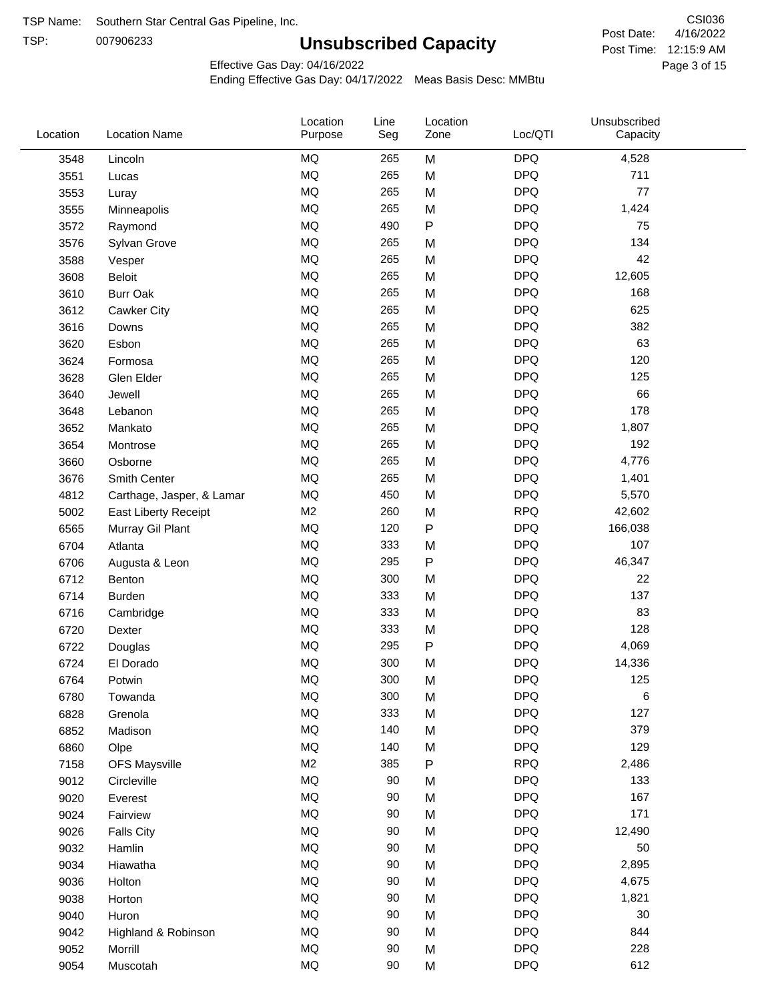TSP: 

# **Unsubscribed Capacity**

4/16/2022 Page 3 of 15 Post Time: 12:15:9 AM CSI036 Post Date:

Effective Gas Day: 04/16/2022

| Location | <b>Location Name</b>      | Location<br>Purpose | Line<br>Seg | Location<br>Zone | Loc/QTI    | Unsubscribed<br>Capacity |  |
|----------|---------------------------|---------------------|-------------|------------------|------------|--------------------------|--|
| 3548     | Lincoln                   | MQ                  | 265         | M                | <b>DPQ</b> | 4,528                    |  |
| 3551     | Lucas                     | $\sf{MQ}$           | 265         | M                | <b>DPQ</b> | 711                      |  |
| 3553     | Luray                     | MQ                  | 265         | M                | <b>DPQ</b> | 77                       |  |
| 3555     | Minneapolis               | <b>MQ</b>           | 265         | M                | <b>DPQ</b> | 1,424                    |  |
| 3572     | Raymond                   | <b>MQ</b>           | 490         | $\mathsf{P}$     | <b>DPQ</b> | 75                       |  |
| 3576     | Sylvan Grove              | MQ                  | 265         | M                | <b>DPQ</b> | 134                      |  |
| 3588     | Vesper                    | MQ                  | 265         | M                | <b>DPQ</b> | 42                       |  |
| 3608     | <b>Beloit</b>             | MQ                  | 265         | M                | <b>DPQ</b> | 12,605                   |  |
| 3610     | <b>Burr Oak</b>           | MQ                  | 265         | M                | <b>DPQ</b> | 168                      |  |
| 3612     | Cawker City               | MQ                  | 265         | M                | <b>DPQ</b> | 625                      |  |
| 3616     | Downs                     | MQ                  | 265         | M                | <b>DPQ</b> | 382                      |  |
| 3620     | Esbon                     | MQ                  | 265         | M                | <b>DPQ</b> | 63                       |  |
| 3624     | Formosa                   | MQ                  | 265         | M                | <b>DPQ</b> | 120                      |  |
| 3628     | Glen Elder                | <b>MQ</b>           | 265         | M                | <b>DPQ</b> | 125                      |  |
| 3640     | Jewell                    | MQ                  | 265         | M                | <b>DPQ</b> | 66                       |  |
| 3648     | Lebanon                   | MQ                  | 265         | M                | <b>DPQ</b> | 178                      |  |
| 3652     | Mankato                   | MQ                  | 265         | M                | <b>DPQ</b> | 1,807                    |  |
| 3654     | Montrose                  | MQ                  | 265         | M                | <b>DPQ</b> | 192                      |  |
| 3660     | Osborne                   | MQ                  | 265         | M                | <b>DPQ</b> | 4,776                    |  |
| 3676     | Smith Center              | MQ                  | 265         | M                | <b>DPQ</b> | 1,401                    |  |
| 4812     | Carthage, Jasper, & Lamar | MQ                  | 450         | M                | <b>DPQ</b> | 5,570                    |  |
| 5002     | East Liberty Receipt      | M <sub>2</sub>      | 260         | M                | <b>RPQ</b> | 42,602                   |  |
| 6565     | Murray Gil Plant          | MQ                  | 120         | $\mathsf{P}$     | <b>DPQ</b> | 166,038                  |  |
| 6704     | Atlanta                   | MQ                  | 333         | M                | <b>DPQ</b> | 107                      |  |
| 6706     | Augusta & Leon            | MQ                  | 295         | ${\sf P}$        | <b>DPQ</b> | 46,347                   |  |
| 6712     | Benton                    | MQ                  | 300         | M                | <b>DPQ</b> | 22                       |  |
| 6714     | <b>Burden</b>             | MQ                  | 333         | M                | <b>DPQ</b> | 137                      |  |
| 6716     | Cambridge                 | MQ                  | 333         | M                | <b>DPQ</b> | 83                       |  |
| 6720     | Dexter                    | MQ                  | 333         | M                | <b>DPQ</b> | 128                      |  |
| 6722     | Douglas                   | $\sf{MQ}$           | 295         | P                | <b>DPQ</b> | 4,069                    |  |
| 6724     | El Dorado                 | <b>MQ</b>           | 300         | M                | <b>DPQ</b> | 14,336                   |  |
| 6764     | Potwin                    | $\sf{MQ}$           | 300         | M                | <b>DPQ</b> | 125                      |  |
| 6780     | Towanda                   | MQ                  | 300         | M                | <b>DPQ</b> | 6                        |  |
| 6828     | Grenola                   | MQ                  | 333         | M                | <b>DPQ</b> | 127                      |  |
| 6852     | Madison                   | MQ                  | 140         | M                | <b>DPQ</b> | 379                      |  |
| 6860     | Olpe                      | MQ                  | 140         | M                | <b>DPQ</b> | 129                      |  |
| 7158     | <b>OFS Maysville</b>      | M <sub>2</sub>      | 385         | ${\sf P}$        | <b>RPQ</b> | 2,486                    |  |
| 9012     | Circleville               | MQ                  | 90          | M                | <b>DPQ</b> | 133                      |  |
| 9020     | Everest                   | $\sf{MQ}$           | 90          | M                | <b>DPQ</b> | 167                      |  |
| 9024     | Fairview                  | MQ                  | 90          | M                | <b>DPQ</b> | 171                      |  |
| 9026     | <b>Falls City</b>         | MQ                  | 90          | M                | <b>DPQ</b> | 12,490                   |  |
| 9032     | Hamlin                    | MQ                  | 90          | M                | <b>DPQ</b> | 50                       |  |
| 9034     | Hiawatha                  | MQ                  | 90          | M                | <b>DPQ</b> | 2,895                    |  |
| 9036     | Holton                    | MQ                  | 90          | M                | <b>DPQ</b> | 4,675                    |  |
| 9038     | Horton                    | MQ                  | 90          | M                | <b>DPQ</b> | 1,821                    |  |
| 9040     | Huron                     | MQ                  | 90          | M                | <b>DPQ</b> | 30                       |  |
| 9042     | Highland & Robinson       | MQ                  | 90          | M                | <b>DPQ</b> | 844                      |  |
| 9052     | Morrill                   | $\sf{MQ}$           | 90          | M                | <b>DPQ</b> | 228                      |  |
| 9054     | Muscotah                  | $\sf{MQ}$           | 90          | M                | <b>DPQ</b> | 612                      |  |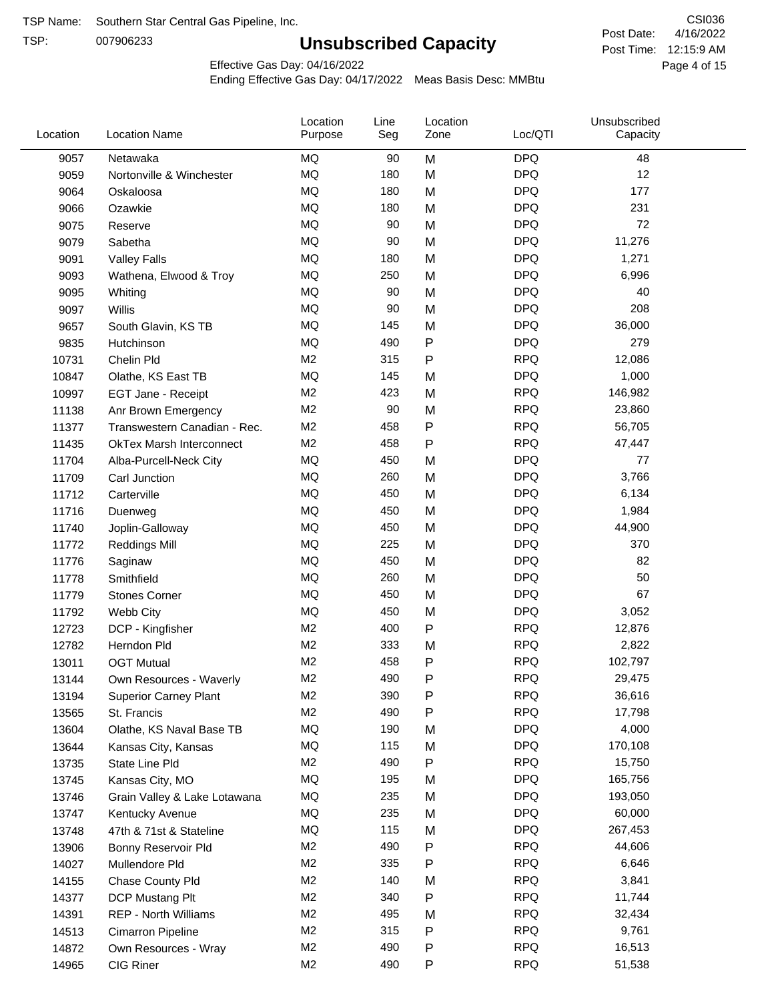TSP:

# **Unsubscribed Capacity**

4/16/2022 Page 4 of 15 Post Time: 12:15:9 AM CSI036 Post Date:

Effective Gas Day: 04/16/2022

| Location | <b>Location Name</b>            | Location<br>Purpose | Line<br>Seg | Location<br>Zone | Loc/QTI    | Unsubscribed<br>Capacity |  |
|----------|---------------------------------|---------------------|-------------|------------------|------------|--------------------------|--|
| 9057     | Netawaka                        | <b>MQ</b>           | 90          | M                | <b>DPQ</b> | 48                       |  |
| 9059     | Nortonville & Winchester        | MQ                  | 180         | M                | <b>DPQ</b> | 12                       |  |
| 9064     | Oskaloosa                       | MQ                  | 180         | M                | <b>DPQ</b> | 177                      |  |
| 9066     | Ozawkie                         | <b>MQ</b>           | 180         | M                | <b>DPQ</b> | 231                      |  |
| 9075     | Reserve                         | <b>MQ</b>           | 90          | M                | <b>DPQ</b> | 72                       |  |
| 9079     | Sabetha                         | <b>MQ</b>           | 90          | M                | <b>DPQ</b> | 11,276                   |  |
| 9091     | <b>Valley Falls</b>             | MQ                  | 180         | M                | <b>DPQ</b> | 1,271                    |  |
| 9093     | Wathena, Elwood & Troy          | MQ                  | 250         | M                | <b>DPQ</b> | 6,996                    |  |
| 9095     | Whiting                         | MQ                  | 90          | M                | <b>DPQ</b> | 40                       |  |
| 9097     | Willis                          | <b>MQ</b>           | 90          | M                | <b>DPQ</b> | 208                      |  |
| 9657     | South Glavin, KS TB             | <b>MQ</b>           | 145         | M                | <b>DPQ</b> | 36,000                   |  |
| 9835     | Hutchinson                      | MQ                  | 490         | P                | <b>DPQ</b> | 279                      |  |
| 10731    | Chelin Pld                      | M <sub>2</sub>      | 315         | P                | <b>RPQ</b> | 12,086                   |  |
| 10847    | Olathe, KS East TB              | <b>MQ</b>           | 145         | M                | <b>DPQ</b> | 1,000                    |  |
| 10997    | EGT Jane - Receipt              | M <sub>2</sub>      | 423         | M                | <b>RPQ</b> | 146,982                  |  |
| 11138    | Anr Brown Emergency             | M <sub>2</sub>      | 90          | M                | <b>RPQ</b> | 23,860                   |  |
| 11377    | Transwestern Canadian - Rec.    | M <sub>2</sub>      | 458         | P                | <b>RPQ</b> | 56,705                   |  |
| 11435    | <b>OkTex Marsh Interconnect</b> | M <sub>2</sub>      | 458         | Ρ                | <b>RPQ</b> | 47,447                   |  |
| 11704    | Alba-Purcell-Neck City          | <b>MQ</b>           | 450         | M                | <b>DPQ</b> | 77                       |  |
| 11709    | Carl Junction                   | <b>MQ</b>           | 260         | M                | <b>DPQ</b> | 3,766                    |  |
| 11712    | Carterville                     | MQ                  | 450         | M                | <b>DPQ</b> | 6,134                    |  |
| 11716    | Duenweg                         | MQ                  | 450         | M                | <b>DPQ</b> | 1,984                    |  |
| 11740    | Joplin-Galloway                 | <b>MQ</b>           | 450         | M                | <b>DPQ</b> | 44,900                   |  |
| 11772    | <b>Reddings Mill</b>            | <b>MQ</b>           | 225         | M                | <b>DPQ</b> | 370                      |  |
| 11776    | Saginaw                         | <b>MQ</b>           | 450         | M                | <b>DPQ</b> | 82                       |  |
| 11778    | Smithfield                      | MQ                  | 260         | M                | <b>DPQ</b> | 50                       |  |
| 11779    | <b>Stones Corner</b>            | <b>MQ</b>           | 450         | M                | <b>DPQ</b> | 67                       |  |
| 11792    | Webb City                       | <b>MQ</b>           | 450         | M                | <b>DPQ</b> | 3,052                    |  |
| 12723    | DCP - Kingfisher                | M <sub>2</sub>      | 400         | P                | <b>RPQ</b> | 12,876                   |  |
| 12782    | Herndon Pld                     | M <sub>2</sub>      | 333         | M                | <b>RPQ</b> | 2,822                    |  |
| 13011    | <b>OGT Mutual</b>               | M <sub>2</sub>      | 458         | P                | <b>RPQ</b> | 102,797                  |  |
| 13144    | Own Resources - Waverly         | M <sub>2</sub>      | 490         | P                | <b>RPQ</b> | 29,475                   |  |
| 13194    | <b>Superior Carney Plant</b>    | M <sub>2</sub>      | 390         | Ρ                | <b>RPQ</b> | 36,616                   |  |
| 13565    | St. Francis                     | M <sub>2</sub>      | 490         | Ρ                | <b>RPQ</b> | 17,798                   |  |
| 13604    | Olathe, KS Naval Base TB        | MQ                  | 190         | M                | <b>DPQ</b> | 4,000                    |  |
| 13644    | Kansas City, Kansas             | MQ                  | 115         | M                | <b>DPQ</b> | 170,108                  |  |
| 13735    | State Line Pld                  | M <sub>2</sub>      | 490         | Ρ                | <b>RPQ</b> | 15,750                   |  |
| 13745    | Kansas City, MO                 | MQ                  | 195         | M                | <b>DPQ</b> | 165,756                  |  |
| 13746    | Grain Valley & Lake Lotawana    | MQ                  | 235         | M                | <b>DPQ</b> | 193,050                  |  |
| 13747    | Kentucky Avenue                 | MQ                  | 235         | M                | <b>DPQ</b> | 60,000                   |  |
| 13748    | 47th & 71st & Stateline         | MQ                  | 115         | M                | <b>DPQ</b> | 267,453                  |  |
| 13906    | Bonny Reservoir Pld             | M <sub>2</sub>      | 490         | Ρ                | <b>RPQ</b> | 44,606                   |  |
| 14027    | Mullendore Pld                  | M <sub>2</sub>      | 335         | Ρ                | <b>RPQ</b> | 6,646                    |  |
| 14155    | Chase County Pld                | M <sub>2</sub>      | 140         | M                | <b>RPQ</b> | 3,841                    |  |
| 14377    | DCP Mustang Plt                 | M <sub>2</sub>      | 340         | Ρ                | <b>RPQ</b> | 11,744                   |  |
| 14391    | <b>REP - North Williams</b>     | M <sub>2</sub>      | 495         | M                | <b>RPQ</b> | 32,434                   |  |
| 14513    | Cimarron Pipeline               | M <sub>2</sub>      | 315         | Ρ                | <b>RPQ</b> | 9,761                    |  |
| 14872    | Own Resources - Wray            | M <sub>2</sub>      | 490         | Ρ                | <b>RPQ</b> | 16,513                   |  |
| 14965    | CIG Riner                       | M <sub>2</sub>      | 490         | Ρ                | <b>RPQ</b> | 51,538                   |  |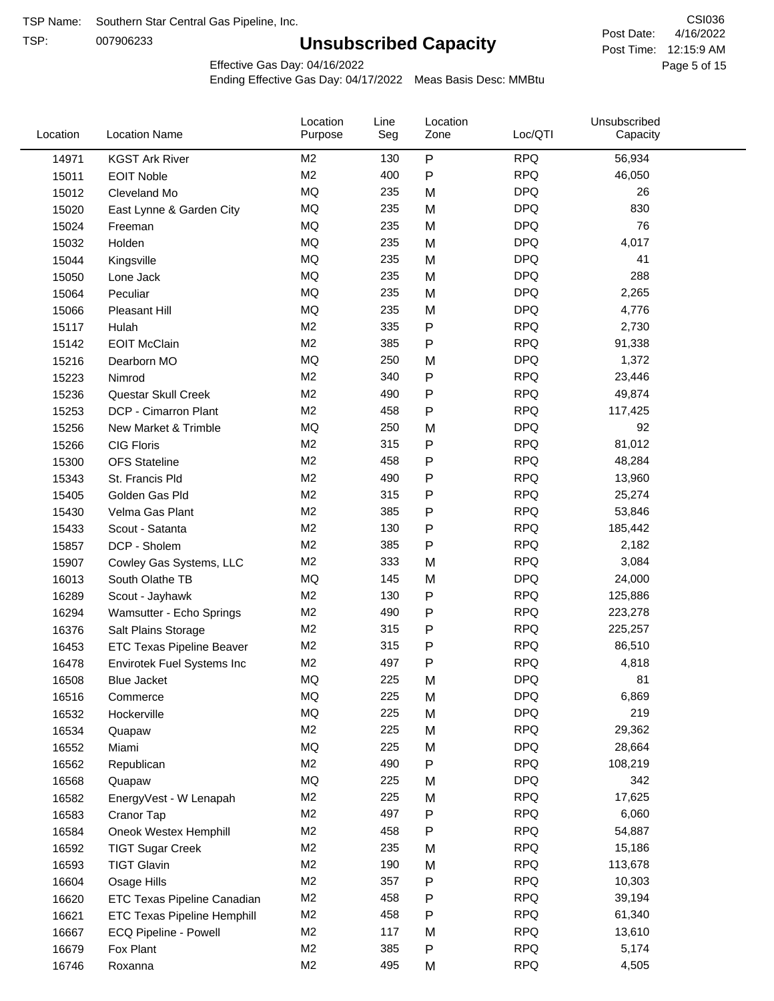TSP:

# **Unsubscribed Capacity**

4/16/2022 Page 5 of 15 Post Time: 12:15:9 AM CSI036 Post Date:

Effective Gas Day: 04/16/2022

| ${\sf P}$<br><b>RPQ</b><br>M <sub>2</sub><br>130<br>56,934<br>14971<br><b>KGST Ark River</b><br>M <sub>2</sub><br>400<br>P<br><b>RPQ</b><br>46,050<br>15011<br><b>EOIT Noble</b><br><b>MQ</b><br><b>DPQ</b><br>235<br>M<br>26<br>15012<br>Cleveland Mo<br><b>MQ</b><br><b>DPQ</b><br>235<br>830<br>15020<br>M<br>East Lynne & Garden City<br><b>MQ</b><br><b>DPQ</b><br>76<br>235<br>M<br>15024<br>Freeman<br><b>MQ</b><br><b>DPQ</b><br>235<br>4,017<br>M<br>15032<br>Holden<br>MQ<br><b>DPQ</b><br>41<br>235<br>M<br>15044<br>Kingsville<br><b>MQ</b><br>288<br>235<br><b>DPQ</b><br>M<br>15050<br>Lone Jack<br><b>MQ</b><br><b>DPQ</b><br>235<br>15064<br>Peculiar<br>M<br>2,265<br><b>MQ</b><br><b>DPQ</b><br>235<br>M<br>4,776<br>15066<br>Pleasant Hill<br>M <sub>2</sub><br>335<br>${\sf P}$<br><b>RPQ</b><br>2,730<br>15117<br>Hulah<br>M <sub>2</sub><br>P<br><b>RPQ</b><br>385<br>91,338<br><b>EOIT McClain</b><br>15142<br>MQ<br>250<br><b>DPQ</b><br>1,372<br>15216<br>Dearborn MO<br>M<br>M <sub>2</sub><br>${\sf P}$<br><b>RPQ</b><br>340<br>23,446<br>15223<br>Nimrod<br>M <sub>2</sub><br>P<br><b>RPQ</b><br>49,874<br>Questar Skull Creek<br>490<br>15236<br>M <sub>2</sub><br>$\mathsf{P}$<br><b>RPQ</b><br>DCP - Cimarron Plant<br>458<br>117,425<br>15253<br><b>MQ</b><br><b>DPQ</b><br>250<br>92<br>15256<br>New Market & Trimble<br>M<br>M <sub>2</sub><br><b>RPQ</b><br>315<br>P<br>81,012<br><b>CIG Floris</b><br>15266<br>M <sub>2</sub><br><b>RPQ</b><br>458<br>${\sf P}$<br>48,284<br>15300<br><b>OFS</b> Stateline<br>M <sub>2</sub><br>490<br>P<br><b>RPQ</b><br>13,960<br>15343<br>St. Francis Pld<br>M <sub>2</sub><br>315<br>P<br><b>RPQ</b><br>Golden Gas Pld<br>25,274<br>15405<br><b>RPQ</b><br>M <sub>2</sub><br>385<br>P<br>53,846<br>15430<br>Velma Gas Plant<br>M <sub>2</sub><br><b>RPQ</b><br>130<br>${\sf P}$<br>185,442<br>15433<br>Scout - Satanta<br>M <sub>2</sub><br>P<br><b>RPQ</b><br>385<br>2,182<br>15857<br>DCP - Sholem<br><b>RPQ</b><br>M <sub>2</sub><br>333<br>3,084<br>M<br>15907<br>Cowley Gas Systems, LLC<br><b>DPQ</b><br>MQ<br>145<br>24,000<br>M<br>16013<br>South Olathe TB<br><b>RPQ</b><br>M <sub>2</sub><br>130<br>P<br>125,886<br>16289<br>Scout - Jayhawk<br><b>RPQ</b><br>M <sub>2</sub><br>490<br>${\sf P}$<br>223,278<br>16294<br>Wamsutter - Echo Springs<br>${\sf P}$<br>M <sub>2</sub><br>315<br><b>RPQ</b><br>225,257<br>16376<br>Salt Plains Storage<br>M <sub>2</sub><br>${\sf P}$<br><b>RPQ</b><br>86,510<br>315<br>16453<br><b>ETC Texas Pipeline Beaver</b><br>M <sub>2</sub><br>P<br><b>RPQ</b><br>497<br>4,818<br>16478<br>Envirotek Fuel Systems Inc<br>MQ<br>225<br><b>DPQ</b><br>16508<br>81<br>M<br><b>Blue Jacket</b><br><b>DPQ</b><br>6,869<br>ΜQ<br>225<br>M<br>16516<br>Commerce<br>MQ<br>219<br>225<br><b>DPQ</b><br>M<br>16532<br>Hockerville<br>M <sub>2</sub><br>225<br><b>RPQ</b><br>29,362<br>M<br>16534<br>Quapaw<br>MQ<br>225<br><b>DPQ</b><br>28,664<br>16552<br>M<br>Miami<br>M <sub>2</sub><br>${\sf P}$<br><b>RPQ</b><br>490<br>108,219<br>16562<br>Republican<br>MQ<br><b>DPQ</b><br>342<br>225<br>16568<br>M<br>Quapaw<br>M <sub>2</sub><br><b>RPQ</b><br>17,625<br>225<br>M<br>16582<br>EnergyVest - W Lenapah<br><b>RPQ</b><br>M <sub>2</sub><br>497<br>P<br>6,060<br>16583<br>Cranor Tap<br>M <sub>2</sub><br>458<br><b>RPQ</b><br>54,887<br>16584<br>Oneok Westex Hemphill<br>P<br>M <sub>2</sub><br>235<br><b>RPQ</b><br>M<br>15,186<br>16592<br><b>TIGT Sugar Creek</b><br>M <sub>2</sub><br>190<br><b>RPQ</b><br>113,678<br>16593<br><b>TIGT Glavin</b><br>M<br>M <sub>2</sub><br>357<br>P<br><b>RPQ</b><br>10,303<br>16604<br>Osage Hills<br>M <sub>2</sub><br>458<br><b>RPQ</b><br>39,194<br>P<br>16620<br>ETC Texas Pipeline Canadian<br><b>RPQ</b><br>M <sub>2</sub><br>458<br>P<br>61,340<br>16621<br><b>ETC Texas Pipeline Hemphill</b><br>M <sub>2</sub><br>117<br><b>RPQ</b><br>13,610<br>16667<br>ECQ Pipeline - Powell<br>M<br>M <sub>2</sub><br>385<br><b>RPQ</b><br>P<br>5,174<br>16679<br>Fox Plant<br>M2<br><b>RPQ</b><br>495<br>4,505<br>16746<br>Roxanna<br>M | Location | <b>Location Name</b> | Location<br>Purpose | Line<br>Seg | Location<br>Zone | Loc/QTI | Unsubscribed<br>Capacity |  |
|-----------------------------------------------------------------------------------------------------------------------------------------------------------------------------------------------------------------------------------------------------------------------------------------------------------------------------------------------------------------------------------------------------------------------------------------------------------------------------------------------------------------------------------------------------------------------------------------------------------------------------------------------------------------------------------------------------------------------------------------------------------------------------------------------------------------------------------------------------------------------------------------------------------------------------------------------------------------------------------------------------------------------------------------------------------------------------------------------------------------------------------------------------------------------------------------------------------------------------------------------------------------------------------------------------------------------------------------------------------------------------------------------------------------------------------------------------------------------------------------------------------------------------------------------------------------------------------------------------------------------------------------------------------------------------------------------------------------------------------------------------------------------------------------------------------------------------------------------------------------------------------------------------------------------------------------------------------------------------------------------------------------------------------------------------------------------------------------------------------------------------------------------------------------------------------------------------------------------------------------------------------------------------------------------------------------------------------------------------------------------------------------------------------------------------------------------------------------------------------------------------------------------------------------------------------------------------------------------------------------------------------------------------------------------------------------------------------------------------------------------------------------------------------------------------------------------------------------------------------------------------------------------------------------------------------------------------------------------------------------------------------------------------------------------------------------------------------------------------------------------------------------------------------------------------------------------------------------------------------------------------------------------------------------------------------------------------------------------------------------------------------------------------------------------------------------------------------------------------------------------------------------------------------------------------------------------------------------------------------------------------------------------------------------------------------------------------------------------------------------------------------------------------------------------------------------------------------------------------------------------------------------------------------------------------------------------------------------------------------------------------------------------------------------------------------------------------------------------|----------|----------------------|---------------------|-------------|------------------|---------|--------------------------|--|
|                                                                                                                                                                                                                                                                                                                                                                                                                                                                                                                                                                                                                                                                                                                                                                                                                                                                                                                                                                                                                                                                                                                                                                                                                                                                                                                                                                                                                                                                                                                                                                                                                                                                                                                                                                                                                                                                                                                                                                                                                                                                                                                                                                                                                                                                                                                                                                                                                                                                                                                                                                                                                                                                                                                                                                                                                                                                                                                                                                                                                                                                                                                                                                                                                                                                                                                                                                                                                                                                                                                                                                                                                                                                                                                                                                                                                                                                                                                                                                                                                                                                                               |          |                      |                     |             |                  |         |                          |  |
|                                                                                                                                                                                                                                                                                                                                                                                                                                                                                                                                                                                                                                                                                                                                                                                                                                                                                                                                                                                                                                                                                                                                                                                                                                                                                                                                                                                                                                                                                                                                                                                                                                                                                                                                                                                                                                                                                                                                                                                                                                                                                                                                                                                                                                                                                                                                                                                                                                                                                                                                                                                                                                                                                                                                                                                                                                                                                                                                                                                                                                                                                                                                                                                                                                                                                                                                                                                                                                                                                                                                                                                                                                                                                                                                                                                                                                                                                                                                                                                                                                                                                               |          |                      |                     |             |                  |         |                          |  |
|                                                                                                                                                                                                                                                                                                                                                                                                                                                                                                                                                                                                                                                                                                                                                                                                                                                                                                                                                                                                                                                                                                                                                                                                                                                                                                                                                                                                                                                                                                                                                                                                                                                                                                                                                                                                                                                                                                                                                                                                                                                                                                                                                                                                                                                                                                                                                                                                                                                                                                                                                                                                                                                                                                                                                                                                                                                                                                                                                                                                                                                                                                                                                                                                                                                                                                                                                                                                                                                                                                                                                                                                                                                                                                                                                                                                                                                                                                                                                                                                                                                                                               |          |                      |                     |             |                  |         |                          |  |
|                                                                                                                                                                                                                                                                                                                                                                                                                                                                                                                                                                                                                                                                                                                                                                                                                                                                                                                                                                                                                                                                                                                                                                                                                                                                                                                                                                                                                                                                                                                                                                                                                                                                                                                                                                                                                                                                                                                                                                                                                                                                                                                                                                                                                                                                                                                                                                                                                                                                                                                                                                                                                                                                                                                                                                                                                                                                                                                                                                                                                                                                                                                                                                                                                                                                                                                                                                                                                                                                                                                                                                                                                                                                                                                                                                                                                                                                                                                                                                                                                                                                                               |          |                      |                     |             |                  |         |                          |  |
|                                                                                                                                                                                                                                                                                                                                                                                                                                                                                                                                                                                                                                                                                                                                                                                                                                                                                                                                                                                                                                                                                                                                                                                                                                                                                                                                                                                                                                                                                                                                                                                                                                                                                                                                                                                                                                                                                                                                                                                                                                                                                                                                                                                                                                                                                                                                                                                                                                                                                                                                                                                                                                                                                                                                                                                                                                                                                                                                                                                                                                                                                                                                                                                                                                                                                                                                                                                                                                                                                                                                                                                                                                                                                                                                                                                                                                                                                                                                                                                                                                                                                               |          |                      |                     |             |                  |         |                          |  |
|                                                                                                                                                                                                                                                                                                                                                                                                                                                                                                                                                                                                                                                                                                                                                                                                                                                                                                                                                                                                                                                                                                                                                                                                                                                                                                                                                                                                                                                                                                                                                                                                                                                                                                                                                                                                                                                                                                                                                                                                                                                                                                                                                                                                                                                                                                                                                                                                                                                                                                                                                                                                                                                                                                                                                                                                                                                                                                                                                                                                                                                                                                                                                                                                                                                                                                                                                                                                                                                                                                                                                                                                                                                                                                                                                                                                                                                                                                                                                                                                                                                                                               |          |                      |                     |             |                  |         |                          |  |
|                                                                                                                                                                                                                                                                                                                                                                                                                                                                                                                                                                                                                                                                                                                                                                                                                                                                                                                                                                                                                                                                                                                                                                                                                                                                                                                                                                                                                                                                                                                                                                                                                                                                                                                                                                                                                                                                                                                                                                                                                                                                                                                                                                                                                                                                                                                                                                                                                                                                                                                                                                                                                                                                                                                                                                                                                                                                                                                                                                                                                                                                                                                                                                                                                                                                                                                                                                                                                                                                                                                                                                                                                                                                                                                                                                                                                                                                                                                                                                                                                                                                                               |          |                      |                     |             |                  |         |                          |  |
|                                                                                                                                                                                                                                                                                                                                                                                                                                                                                                                                                                                                                                                                                                                                                                                                                                                                                                                                                                                                                                                                                                                                                                                                                                                                                                                                                                                                                                                                                                                                                                                                                                                                                                                                                                                                                                                                                                                                                                                                                                                                                                                                                                                                                                                                                                                                                                                                                                                                                                                                                                                                                                                                                                                                                                                                                                                                                                                                                                                                                                                                                                                                                                                                                                                                                                                                                                                                                                                                                                                                                                                                                                                                                                                                                                                                                                                                                                                                                                                                                                                                                               |          |                      |                     |             |                  |         |                          |  |
|                                                                                                                                                                                                                                                                                                                                                                                                                                                                                                                                                                                                                                                                                                                                                                                                                                                                                                                                                                                                                                                                                                                                                                                                                                                                                                                                                                                                                                                                                                                                                                                                                                                                                                                                                                                                                                                                                                                                                                                                                                                                                                                                                                                                                                                                                                                                                                                                                                                                                                                                                                                                                                                                                                                                                                                                                                                                                                                                                                                                                                                                                                                                                                                                                                                                                                                                                                                                                                                                                                                                                                                                                                                                                                                                                                                                                                                                                                                                                                                                                                                                                               |          |                      |                     |             |                  |         |                          |  |
|                                                                                                                                                                                                                                                                                                                                                                                                                                                                                                                                                                                                                                                                                                                                                                                                                                                                                                                                                                                                                                                                                                                                                                                                                                                                                                                                                                                                                                                                                                                                                                                                                                                                                                                                                                                                                                                                                                                                                                                                                                                                                                                                                                                                                                                                                                                                                                                                                                                                                                                                                                                                                                                                                                                                                                                                                                                                                                                                                                                                                                                                                                                                                                                                                                                                                                                                                                                                                                                                                                                                                                                                                                                                                                                                                                                                                                                                                                                                                                                                                                                                                               |          |                      |                     |             |                  |         |                          |  |
|                                                                                                                                                                                                                                                                                                                                                                                                                                                                                                                                                                                                                                                                                                                                                                                                                                                                                                                                                                                                                                                                                                                                                                                                                                                                                                                                                                                                                                                                                                                                                                                                                                                                                                                                                                                                                                                                                                                                                                                                                                                                                                                                                                                                                                                                                                                                                                                                                                                                                                                                                                                                                                                                                                                                                                                                                                                                                                                                                                                                                                                                                                                                                                                                                                                                                                                                                                                                                                                                                                                                                                                                                                                                                                                                                                                                                                                                                                                                                                                                                                                                                               |          |                      |                     |             |                  |         |                          |  |
|                                                                                                                                                                                                                                                                                                                                                                                                                                                                                                                                                                                                                                                                                                                                                                                                                                                                                                                                                                                                                                                                                                                                                                                                                                                                                                                                                                                                                                                                                                                                                                                                                                                                                                                                                                                                                                                                                                                                                                                                                                                                                                                                                                                                                                                                                                                                                                                                                                                                                                                                                                                                                                                                                                                                                                                                                                                                                                                                                                                                                                                                                                                                                                                                                                                                                                                                                                                                                                                                                                                                                                                                                                                                                                                                                                                                                                                                                                                                                                                                                                                                                               |          |                      |                     |             |                  |         |                          |  |
|                                                                                                                                                                                                                                                                                                                                                                                                                                                                                                                                                                                                                                                                                                                                                                                                                                                                                                                                                                                                                                                                                                                                                                                                                                                                                                                                                                                                                                                                                                                                                                                                                                                                                                                                                                                                                                                                                                                                                                                                                                                                                                                                                                                                                                                                                                                                                                                                                                                                                                                                                                                                                                                                                                                                                                                                                                                                                                                                                                                                                                                                                                                                                                                                                                                                                                                                                                                                                                                                                                                                                                                                                                                                                                                                                                                                                                                                                                                                                                                                                                                                                               |          |                      |                     |             |                  |         |                          |  |
|                                                                                                                                                                                                                                                                                                                                                                                                                                                                                                                                                                                                                                                                                                                                                                                                                                                                                                                                                                                                                                                                                                                                                                                                                                                                                                                                                                                                                                                                                                                                                                                                                                                                                                                                                                                                                                                                                                                                                                                                                                                                                                                                                                                                                                                                                                                                                                                                                                                                                                                                                                                                                                                                                                                                                                                                                                                                                                                                                                                                                                                                                                                                                                                                                                                                                                                                                                                                                                                                                                                                                                                                                                                                                                                                                                                                                                                                                                                                                                                                                                                                                               |          |                      |                     |             |                  |         |                          |  |
|                                                                                                                                                                                                                                                                                                                                                                                                                                                                                                                                                                                                                                                                                                                                                                                                                                                                                                                                                                                                                                                                                                                                                                                                                                                                                                                                                                                                                                                                                                                                                                                                                                                                                                                                                                                                                                                                                                                                                                                                                                                                                                                                                                                                                                                                                                                                                                                                                                                                                                                                                                                                                                                                                                                                                                                                                                                                                                                                                                                                                                                                                                                                                                                                                                                                                                                                                                                                                                                                                                                                                                                                                                                                                                                                                                                                                                                                                                                                                                                                                                                                                               |          |                      |                     |             |                  |         |                          |  |
|                                                                                                                                                                                                                                                                                                                                                                                                                                                                                                                                                                                                                                                                                                                                                                                                                                                                                                                                                                                                                                                                                                                                                                                                                                                                                                                                                                                                                                                                                                                                                                                                                                                                                                                                                                                                                                                                                                                                                                                                                                                                                                                                                                                                                                                                                                                                                                                                                                                                                                                                                                                                                                                                                                                                                                                                                                                                                                                                                                                                                                                                                                                                                                                                                                                                                                                                                                                                                                                                                                                                                                                                                                                                                                                                                                                                                                                                                                                                                                                                                                                                                               |          |                      |                     |             |                  |         |                          |  |
|                                                                                                                                                                                                                                                                                                                                                                                                                                                                                                                                                                                                                                                                                                                                                                                                                                                                                                                                                                                                                                                                                                                                                                                                                                                                                                                                                                                                                                                                                                                                                                                                                                                                                                                                                                                                                                                                                                                                                                                                                                                                                                                                                                                                                                                                                                                                                                                                                                                                                                                                                                                                                                                                                                                                                                                                                                                                                                                                                                                                                                                                                                                                                                                                                                                                                                                                                                                                                                                                                                                                                                                                                                                                                                                                                                                                                                                                                                                                                                                                                                                                                               |          |                      |                     |             |                  |         |                          |  |
|                                                                                                                                                                                                                                                                                                                                                                                                                                                                                                                                                                                                                                                                                                                                                                                                                                                                                                                                                                                                                                                                                                                                                                                                                                                                                                                                                                                                                                                                                                                                                                                                                                                                                                                                                                                                                                                                                                                                                                                                                                                                                                                                                                                                                                                                                                                                                                                                                                                                                                                                                                                                                                                                                                                                                                                                                                                                                                                                                                                                                                                                                                                                                                                                                                                                                                                                                                                                                                                                                                                                                                                                                                                                                                                                                                                                                                                                                                                                                                                                                                                                                               |          |                      |                     |             |                  |         |                          |  |
|                                                                                                                                                                                                                                                                                                                                                                                                                                                                                                                                                                                                                                                                                                                                                                                                                                                                                                                                                                                                                                                                                                                                                                                                                                                                                                                                                                                                                                                                                                                                                                                                                                                                                                                                                                                                                                                                                                                                                                                                                                                                                                                                                                                                                                                                                                                                                                                                                                                                                                                                                                                                                                                                                                                                                                                                                                                                                                                                                                                                                                                                                                                                                                                                                                                                                                                                                                                                                                                                                                                                                                                                                                                                                                                                                                                                                                                                                                                                                                                                                                                                                               |          |                      |                     |             |                  |         |                          |  |
|                                                                                                                                                                                                                                                                                                                                                                                                                                                                                                                                                                                                                                                                                                                                                                                                                                                                                                                                                                                                                                                                                                                                                                                                                                                                                                                                                                                                                                                                                                                                                                                                                                                                                                                                                                                                                                                                                                                                                                                                                                                                                                                                                                                                                                                                                                                                                                                                                                                                                                                                                                                                                                                                                                                                                                                                                                                                                                                                                                                                                                                                                                                                                                                                                                                                                                                                                                                                                                                                                                                                                                                                                                                                                                                                                                                                                                                                                                                                                                                                                                                                                               |          |                      |                     |             |                  |         |                          |  |
|                                                                                                                                                                                                                                                                                                                                                                                                                                                                                                                                                                                                                                                                                                                                                                                                                                                                                                                                                                                                                                                                                                                                                                                                                                                                                                                                                                                                                                                                                                                                                                                                                                                                                                                                                                                                                                                                                                                                                                                                                                                                                                                                                                                                                                                                                                                                                                                                                                                                                                                                                                                                                                                                                                                                                                                                                                                                                                                                                                                                                                                                                                                                                                                                                                                                                                                                                                                                                                                                                                                                                                                                                                                                                                                                                                                                                                                                                                                                                                                                                                                                                               |          |                      |                     |             |                  |         |                          |  |
|                                                                                                                                                                                                                                                                                                                                                                                                                                                                                                                                                                                                                                                                                                                                                                                                                                                                                                                                                                                                                                                                                                                                                                                                                                                                                                                                                                                                                                                                                                                                                                                                                                                                                                                                                                                                                                                                                                                                                                                                                                                                                                                                                                                                                                                                                                                                                                                                                                                                                                                                                                                                                                                                                                                                                                                                                                                                                                                                                                                                                                                                                                                                                                                                                                                                                                                                                                                                                                                                                                                                                                                                                                                                                                                                                                                                                                                                                                                                                                                                                                                                                               |          |                      |                     |             |                  |         |                          |  |
|                                                                                                                                                                                                                                                                                                                                                                                                                                                                                                                                                                                                                                                                                                                                                                                                                                                                                                                                                                                                                                                                                                                                                                                                                                                                                                                                                                                                                                                                                                                                                                                                                                                                                                                                                                                                                                                                                                                                                                                                                                                                                                                                                                                                                                                                                                                                                                                                                                                                                                                                                                                                                                                                                                                                                                                                                                                                                                                                                                                                                                                                                                                                                                                                                                                                                                                                                                                                                                                                                                                                                                                                                                                                                                                                                                                                                                                                                                                                                                                                                                                                                               |          |                      |                     |             |                  |         |                          |  |
|                                                                                                                                                                                                                                                                                                                                                                                                                                                                                                                                                                                                                                                                                                                                                                                                                                                                                                                                                                                                                                                                                                                                                                                                                                                                                                                                                                                                                                                                                                                                                                                                                                                                                                                                                                                                                                                                                                                                                                                                                                                                                                                                                                                                                                                                                                                                                                                                                                                                                                                                                                                                                                                                                                                                                                                                                                                                                                                                                                                                                                                                                                                                                                                                                                                                                                                                                                                                                                                                                                                                                                                                                                                                                                                                                                                                                                                                                                                                                                                                                                                                                               |          |                      |                     |             |                  |         |                          |  |
|                                                                                                                                                                                                                                                                                                                                                                                                                                                                                                                                                                                                                                                                                                                                                                                                                                                                                                                                                                                                                                                                                                                                                                                                                                                                                                                                                                                                                                                                                                                                                                                                                                                                                                                                                                                                                                                                                                                                                                                                                                                                                                                                                                                                                                                                                                                                                                                                                                                                                                                                                                                                                                                                                                                                                                                                                                                                                                                                                                                                                                                                                                                                                                                                                                                                                                                                                                                                                                                                                                                                                                                                                                                                                                                                                                                                                                                                                                                                                                                                                                                                                               |          |                      |                     |             |                  |         |                          |  |
|                                                                                                                                                                                                                                                                                                                                                                                                                                                                                                                                                                                                                                                                                                                                                                                                                                                                                                                                                                                                                                                                                                                                                                                                                                                                                                                                                                                                                                                                                                                                                                                                                                                                                                                                                                                                                                                                                                                                                                                                                                                                                                                                                                                                                                                                                                                                                                                                                                                                                                                                                                                                                                                                                                                                                                                                                                                                                                                                                                                                                                                                                                                                                                                                                                                                                                                                                                                                                                                                                                                                                                                                                                                                                                                                                                                                                                                                                                                                                                                                                                                                                               |          |                      |                     |             |                  |         |                          |  |
|                                                                                                                                                                                                                                                                                                                                                                                                                                                                                                                                                                                                                                                                                                                                                                                                                                                                                                                                                                                                                                                                                                                                                                                                                                                                                                                                                                                                                                                                                                                                                                                                                                                                                                                                                                                                                                                                                                                                                                                                                                                                                                                                                                                                                                                                                                                                                                                                                                                                                                                                                                                                                                                                                                                                                                                                                                                                                                                                                                                                                                                                                                                                                                                                                                                                                                                                                                                                                                                                                                                                                                                                                                                                                                                                                                                                                                                                                                                                                                                                                                                                                               |          |                      |                     |             |                  |         |                          |  |
|                                                                                                                                                                                                                                                                                                                                                                                                                                                                                                                                                                                                                                                                                                                                                                                                                                                                                                                                                                                                                                                                                                                                                                                                                                                                                                                                                                                                                                                                                                                                                                                                                                                                                                                                                                                                                                                                                                                                                                                                                                                                                                                                                                                                                                                                                                                                                                                                                                                                                                                                                                                                                                                                                                                                                                                                                                                                                                                                                                                                                                                                                                                                                                                                                                                                                                                                                                                                                                                                                                                                                                                                                                                                                                                                                                                                                                                                                                                                                                                                                                                                                               |          |                      |                     |             |                  |         |                          |  |
|                                                                                                                                                                                                                                                                                                                                                                                                                                                                                                                                                                                                                                                                                                                                                                                                                                                                                                                                                                                                                                                                                                                                                                                                                                                                                                                                                                                                                                                                                                                                                                                                                                                                                                                                                                                                                                                                                                                                                                                                                                                                                                                                                                                                                                                                                                                                                                                                                                                                                                                                                                                                                                                                                                                                                                                                                                                                                                                                                                                                                                                                                                                                                                                                                                                                                                                                                                                                                                                                                                                                                                                                                                                                                                                                                                                                                                                                                                                                                                                                                                                                                               |          |                      |                     |             |                  |         |                          |  |
|                                                                                                                                                                                                                                                                                                                                                                                                                                                                                                                                                                                                                                                                                                                                                                                                                                                                                                                                                                                                                                                                                                                                                                                                                                                                                                                                                                                                                                                                                                                                                                                                                                                                                                                                                                                                                                                                                                                                                                                                                                                                                                                                                                                                                                                                                                                                                                                                                                                                                                                                                                                                                                                                                                                                                                                                                                                                                                                                                                                                                                                                                                                                                                                                                                                                                                                                                                                                                                                                                                                                                                                                                                                                                                                                                                                                                                                                                                                                                                                                                                                                                               |          |                      |                     |             |                  |         |                          |  |
|                                                                                                                                                                                                                                                                                                                                                                                                                                                                                                                                                                                                                                                                                                                                                                                                                                                                                                                                                                                                                                                                                                                                                                                                                                                                                                                                                                                                                                                                                                                                                                                                                                                                                                                                                                                                                                                                                                                                                                                                                                                                                                                                                                                                                                                                                                                                                                                                                                                                                                                                                                                                                                                                                                                                                                                                                                                                                                                                                                                                                                                                                                                                                                                                                                                                                                                                                                                                                                                                                                                                                                                                                                                                                                                                                                                                                                                                                                                                                                                                                                                                                               |          |                      |                     |             |                  |         |                          |  |
|                                                                                                                                                                                                                                                                                                                                                                                                                                                                                                                                                                                                                                                                                                                                                                                                                                                                                                                                                                                                                                                                                                                                                                                                                                                                                                                                                                                                                                                                                                                                                                                                                                                                                                                                                                                                                                                                                                                                                                                                                                                                                                                                                                                                                                                                                                                                                                                                                                                                                                                                                                                                                                                                                                                                                                                                                                                                                                                                                                                                                                                                                                                                                                                                                                                                                                                                                                                                                                                                                                                                                                                                                                                                                                                                                                                                                                                                                                                                                                                                                                                                                               |          |                      |                     |             |                  |         |                          |  |
|                                                                                                                                                                                                                                                                                                                                                                                                                                                                                                                                                                                                                                                                                                                                                                                                                                                                                                                                                                                                                                                                                                                                                                                                                                                                                                                                                                                                                                                                                                                                                                                                                                                                                                                                                                                                                                                                                                                                                                                                                                                                                                                                                                                                                                                                                                                                                                                                                                                                                                                                                                                                                                                                                                                                                                                                                                                                                                                                                                                                                                                                                                                                                                                                                                                                                                                                                                                                                                                                                                                                                                                                                                                                                                                                                                                                                                                                                                                                                                                                                                                                                               |          |                      |                     |             |                  |         |                          |  |
|                                                                                                                                                                                                                                                                                                                                                                                                                                                                                                                                                                                                                                                                                                                                                                                                                                                                                                                                                                                                                                                                                                                                                                                                                                                                                                                                                                                                                                                                                                                                                                                                                                                                                                                                                                                                                                                                                                                                                                                                                                                                                                                                                                                                                                                                                                                                                                                                                                                                                                                                                                                                                                                                                                                                                                                                                                                                                                                                                                                                                                                                                                                                                                                                                                                                                                                                                                                                                                                                                                                                                                                                                                                                                                                                                                                                                                                                                                                                                                                                                                                                                               |          |                      |                     |             |                  |         |                          |  |
|                                                                                                                                                                                                                                                                                                                                                                                                                                                                                                                                                                                                                                                                                                                                                                                                                                                                                                                                                                                                                                                                                                                                                                                                                                                                                                                                                                                                                                                                                                                                                                                                                                                                                                                                                                                                                                                                                                                                                                                                                                                                                                                                                                                                                                                                                                                                                                                                                                                                                                                                                                                                                                                                                                                                                                                                                                                                                                                                                                                                                                                                                                                                                                                                                                                                                                                                                                                                                                                                                                                                                                                                                                                                                                                                                                                                                                                                                                                                                                                                                                                                                               |          |                      |                     |             |                  |         |                          |  |
|                                                                                                                                                                                                                                                                                                                                                                                                                                                                                                                                                                                                                                                                                                                                                                                                                                                                                                                                                                                                                                                                                                                                                                                                                                                                                                                                                                                                                                                                                                                                                                                                                                                                                                                                                                                                                                                                                                                                                                                                                                                                                                                                                                                                                                                                                                                                                                                                                                                                                                                                                                                                                                                                                                                                                                                                                                                                                                                                                                                                                                                                                                                                                                                                                                                                                                                                                                                                                                                                                                                                                                                                                                                                                                                                                                                                                                                                                                                                                                                                                                                                                               |          |                      |                     |             |                  |         |                          |  |
|                                                                                                                                                                                                                                                                                                                                                                                                                                                                                                                                                                                                                                                                                                                                                                                                                                                                                                                                                                                                                                                                                                                                                                                                                                                                                                                                                                                                                                                                                                                                                                                                                                                                                                                                                                                                                                                                                                                                                                                                                                                                                                                                                                                                                                                                                                                                                                                                                                                                                                                                                                                                                                                                                                                                                                                                                                                                                                                                                                                                                                                                                                                                                                                                                                                                                                                                                                                                                                                                                                                                                                                                                                                                                                                                                                                                                                                                                                                                                                                                                                                                                               |          |                      |                     |             |                  |         |                          |  |
|                                                                                                                                                                                                                                                                                                                                                                                                                                                                                                                                                                                                                                                                                                                                                                                                                                                                                                                                                                                                                                                                                                                                                                                                                                                                                                                                                                                                                                                                                                                                                                                                                                                                                                                                                                                                                                                                                                                                                                                                                                                                                                                                                                                                                                                                                                                                                                                                                                                                                                                                                                                                                                                                                                                                                                                                                                                                                                                                                                                                                                                                                                                                                                                                                                                                                                                                                                                                                                                                                                                                                                                                                                                                                                                                                                                                                                                                                                                                                                                                                                                                                               |          |                      |                     |             |                  |         |                          |  |
|                                                                                                                                                                                                                                                                                                                                                                                                                                                                                                                                                                                                                                                                                                                                                                                                                                                                                                                                                                                                                                                                                                                                                                                                                                                                                                                                                                                                                                                                                                                                                                                                                                                                                                                                                                                                                                                                                                                                                                                                                                                                                                                                                                                                                                                                                                                                                                                                                                                                                                                                                                                                                                                                                                                                                                                                                                                                                                                                                                                                                                                                                                                                                                                                                                                                                                                                                                                                                                                                                                                                                                                                                                                                                                                                                                                                                                                                                                                                                                                                                                                                                               |          |                      |                     |             |                  |         |                          |  |
|                                                                                                                                                                                                                                                                                                                                                                                                                                                                                                                                                                                                                                                                                                                                                                                                                                                                                                                                                                                                                                                                                                                                                                                                                                                                                                                                                                                                                                                                                                                                                                                                                                                                                                                                                                                                                                                                                                                                                                                                                                                                                                                                                                                                                                                                                                                                                                                                                                                                                                                                                                                                                                                                                                                                                                                                                                                                                                                                                                                                                                                                                                                                                                                                                                                                                                                                                                                                                                                                                                                                                                                                                                                                                                                                                                                                                                                                                                                                                                                                                                                                                               |          |                      |                     |             |                  |         |                          |  |
|                                                                                                                                                                                                                                                                                                                                                                                                                                                                                                                                                                                                                                                                                                                                                                                                                                                                                                                                                                                                                                                                                                                                                                                                                                                                                                                                                                                                                                                                                                                                                                                                                                                                                                                                                                                                                                                                                                                                                                                                                                                                                                                                                                                                                                                                                                                                                                                                                                                                                                                                                                                                                                                                                                                                                                                                                                                                                                                                                                                                                                                                                                                                                                                                                                                                                                                                                                                                                                                                                                                                                                                                                                                                                                                                                                                                                                                                                                                                                                                                                                                                                               |          |                      |                     |             |                  |         |                          |  |
|                                                                                                                                                                                                                                                                                                                                                                                                                                                                                                                                                                                                                                                                                                                                                                                                                                                                                                                                                                                                                                                                                                                                                                                                                                                                                                                                                                                                                                                                                                                                                                                                                                                                                                                                                                                                                                                                                                                                                                                                                                                                                                                                                                                                                                                                                                                                                                                                                                                                                                                                                                                                                                                                                                                                                                                                                                                                                                                                                                                                                                                                                                                                                                                                                                                                                                                                                                                                                                                                                                                                                                                                                                                                                                                                                                                                                                                                                                                                                                                                                                                                                               |          |                      |                     |             |                  |         |                          |  |
|                                                                                                                                                                                                                                                                                                                                                                                                                                                                                                                                                                                                                                                                                                                                                                                                                                                                                                                                                                                                                                                                                                                                                                                                                                                                                                                                                                                                                                                                                                                                                                                                                                                                                                                                                                                                                                                                                                                                                                                                                                                                                                                                                                                                                                                                                                                                                                                                                                                                                                                                                                                                                                                                                                                                                                                                                                                                                                                                                                                                                                                                                                                                                                                                                                                                                                                                                                                                                                                                                                                                                                                                                                                                                                                                                                                                                                                                                                                                                                                                                                                                                               |          |                      |                     |             |                  |         |                          |  |
|                                                                                                                                                                                                                                                                                                                                                                                                                                                                                                                                                                                                                                                                                                                                                                                                                                                                                                                                                                                                                                                                                                                                                                                                                                                                                                                                                                                                                                                                                                                                                                                                                                                                                                                                                                                                                                                                                                                                                                                                                                                                                                                                                                                                                                                                                                                                                                                                                                                                                                                                                                                                                                                                                                                                                                                                                                                                                                                                                                                                                                                                                                                                                                                                                                                                                                                                                                                                                                                                                                                                                                                                                                                                                                                                                                                                                                                                                                                                                                                                                                                                                               |          |                      |                     |             |                  |         |                          |  |
|                                                                                                                                                                                                                                                                                                                                                                                                                                                                                                                                                                                                                                                                                                                                                                                                                                                                                                                                                                                                                                                                                                                                                                                                                                                                                                                                                                                                                                                                                                                                                                                                                                                                                                                                                                                                                                                                                                                                                                                                                                                                                                                                                                                                                                                                                                                                                                                                                                                                                                                                                                                                                                                                                                                                                                                                                                                                                                                                                                                                                                                                                                                                                                                                                                                                                                                                                                                                                                                                                                                                                                                                                                                                                                                                                                                                                                                                                                                                                                                                                                                                                               |          |                      |                     |             |                  |         |                          |  |
|                                                                                                                                                                                                                                                                                                                                                                                                                                                                                                                                                                                                                                                                                                                                                                                                                                                                                                                                                                                                                                                                                                                                                                                                                                                                                                                                                                                                                                                                                                                                                                                                                                                                                                                                                                                                                                                                                                                                                                                                                                                                                                                                                                                                                                                                                                                                                                                                                                                                                                                                                                                                                                                                                                                                                                                                                                                                                                                                                                                                                                                                                                                                                                                                                                                                                                                                                                                                                                                                                                                                                                                                                                                                                                                                                                                                                                                                                                                                                                                                                                                                                               |          |                      |                     |             |                  |         |                          |  |
|                                                                                                                                                                                                                                                                                                                                                                                                                                                                                                                                                                                                                                                                                                                                                                                                                                                                                                                                                                                                                                                                                                                                                                                                                                                                                                                                                                                                                                                                                                                                                                                                                                                                                                                                                                                                                                                                                                                                                                                                                                                                                                                                                                                                                                                                                                                                                                                                                                                                                                                                                                                                                                                                                                                                                                                                                                                                                                                                                                                                                                                                                                                                                                                                                                                                                                                                                                                                                                                                                                                                                                                                                                                                                                                                                                                                                                                                                                                                                                                                                                                                                               |          |                      |                     |             |                  |         |                          |  |
|                                                                                                                                                                                                                                                                                                                                                                                                                                                                                                                                                                                                                                                                                                                                                                                                                                                                                                                                                                                                                                                                                                                                                                                                                                                                                                                                                                                                                                                                                                                                                                                                                                                                                                                                                                                                                                                                                                                                                                                                                                                                                                                                                                                                                                                                                                                                                                                                                                                                                                                                                                                                                                                                                                                                                                                                                                                                                                                                                                                                                                                                                                                                                                                                                                                                                                                                                                                                                                                                                                                                                                                                                                                                                                                                                                                                                                                                                                                                                                                                                                                                                               |          |                      |                     |             |                  |         |                          |  |
|                                                                                                                                                                                                                                                                                                                                                                                                                                                                                                                                                                                                                                                                                                                                                                                                                                                                                                                                                                                                                                                                                                                                                                                                                                                                                                                                                                                                                                                                                                                                                                                                                                                                                                                                                                                                                                                                                                                                                                                                                                                                                                                                                                                                                                                                                                                                                                                                                                                                                                                                                                                                                                                                                                                                                                                                                                                                                                                                                                                                                                                                                                                                                                                                                                                                                                                                                                                                                                                                                                                                                                                                                                                                                                                                                                                                                                                                                                                                                                                                                                                                                               |          |                      |                     |             |                  |         |                          |  |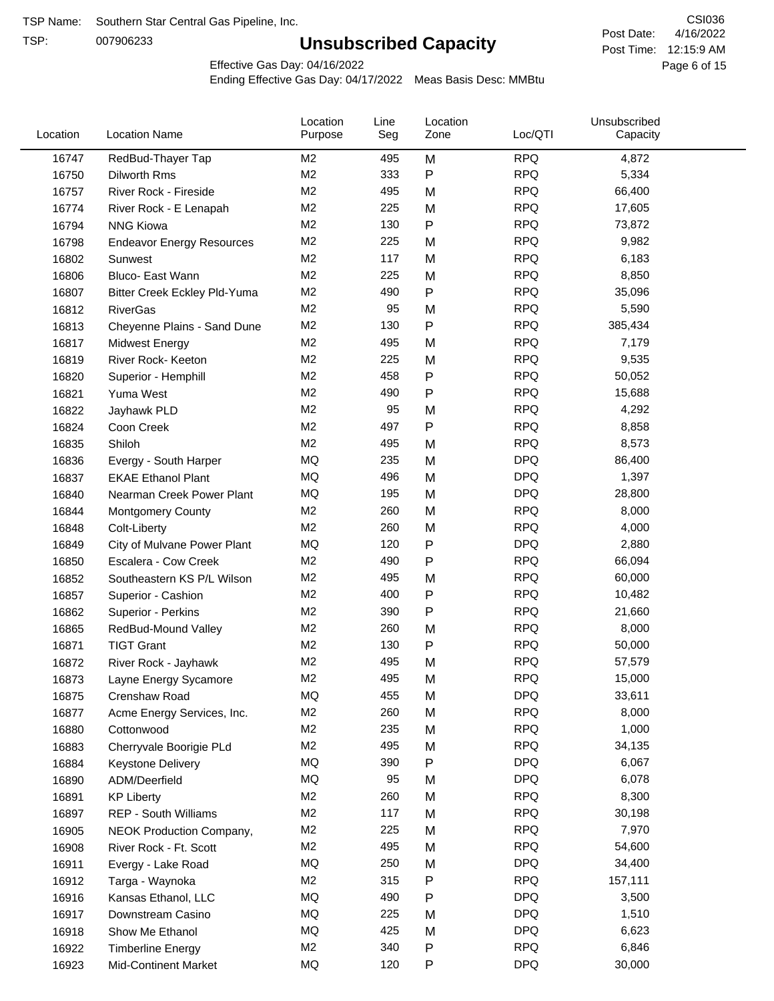TSP:

# **Unsubscribed Capacity**

4/16/2022 Page 6 of 15 Post Time: 12:15:9 AM CSI036 Post Date:

Effective Gas Day: 04/16/2022

| Location | <b>Location Name</b>                | Location<br>Purpose | Line<br>Seg | Location<br>Zone | Loc/QTI    | Unsubscribed<br>Capacity |  |
|----------|-------------------------------------|---------------------|-------------|------------------|------------|--------------------------|--|
| 16747    | RedBud-Thayer Tap                   | M2                  | 495         | M                | <b>RPQ</b> | 4,872                    |  |
| 16750    | Dilworth Rms                        | M <sub>2</sub>      | 333         | ${\sf P}$        | <b>RPQ</b> | 5,334                    |  |
| 16757    | River Rock - Fireside               | M <sub>2</sub>      | 495         | M                | <b>RPQ</b> | 66,400                   |  |
| 16774    | River Rock - E Lenapah              | M2                  | 225         | M                | <b>RPQ</b> | 17,605                   |  |
| 16794    | <b>NNG Kiowa</b>                    | M <sub>2</sub>      | 130         | P                | <b>RPQ</b> | 73,872                   |  |
| 16798    | <b>Endeavor Energy Resources</b>    | M <sub>2</sub>      | 225         | M                | <b>RPQ</b> | 9,982                    |  |
| 16802    | Sunwest                             | M2                  | 117         | M                | <b>RPQ</b> | 6,183                    |  |
| 16806    | Bluco- East Wann                    | M <sub>2</sub>      | 225         | M                | <b>RPQ</b> | 8,850                    |  |
| 16807    | <b>Bitter Creek Eckley Pld-Yuma</b> | M <sub>2</sub>      | 490         | $\mathsf{P}$     | <b>RPQ</b> | 35,096                   |  |
| 16812    | <b>RiverGas</b>                     | M <sub>2</sub>      | 95          | M                | <b>RPQ</b> | 5,590                    |  |
| 16813    | Cheyenne Plains - Sand Dune         | M <sub>2</sub>      | 130         | P                | <b>RPQ</b> | 385,434                  |  |
| 16817    | <b>Midwest Energy</b>               | M2                  | 495         | M                | <b>RPQ</b> | 7,179                    |  |
| 16819    | River Rock- Keeton                  | M2                  | 225         | M                | <b>RPQ</b> | 9,535                    |  |
| 16820    | Superior - Hemphill                 | M <sub>2</sub>      | 458         | P                | <b>RPQ</b> | 50,052                   |  |
| 16821    | Yuma West                           | M <sub>2</sub>      | 490         | P                | <b>RPQ</b> | 15,688                   |  |
| 16822    | Jayhawk PLD                         | M2                  | 95          | M                | <b>RPQ</b> | 4,292                    |  |
| 16824    | Coon Creek                          | M2                  | 497         | P                | <b>RPQ</b> | 8,858                    |  |
| 16835    | Shiloh                              | M2                  | 495         | M                | <b>RPQ</b> | 8,573                    |  |
| 16836    | Evergy - South Harper               | MQ                  | 235         | M                | <b>DPQ</b> | 86,400                   |  |
| 16837    | <b>EKAE Ethanol Plant</b>           | MQ                  | 496         | M                | <b>DPQ</b> | 1,397                    |  |
| 16840    | Nearman Creek Power Plant           | MQ                  | 195         | M                | <b>DPQ</b> | 28,800                   |  |
| 16844    | <b>Montgomery County</b>            | M2                  | 260         | M                | <b>RPQ</b> | 8,000                    |  |
| 16848    | Colt-Liberty                        | M2                  | 260         | M                | <b>RPQ</b> | 4,000                    |  |
| 16849    | City of Mulvane Power Plant         | <b>MQ</b>           | 120         | ${\sf P}$        | <b>DPQ</b> | 2,880                    |  |
| 16850    | Escalera - Cow Creek                | M2                  | 490         | $\mathsf{P}$     | <b>RPQ</b> | 66,094                   |  |
| 16852    | Southeastern KS P/L Wilson          | M2                  | 495         | M                | <b>RPQ</b> | 60,000                   |  |
| 16857    | Superior - Cashion                  | M2                  | 400         | P                | <b>RPQ</b> | 10,482                   |  |
| 16862    | Superior - Perkins                  | M2                  | 390         | P                | <b>RPQ</b> | 21,660                   |  |
| 16865    | RedBud-Mound Valley                 | M <sub>2</sub>      | 260         | M                | <b>RPQ</b> | 8,000                    |  |
| 16871    | <b>TIGT Grant</b>                   | M <sub>2</sub>      | 130         | P                | <b>RPQ</b> | 50,000                   |  |
| 16872    | River Rock - Jayhawk                | M <sub>2</sub>      | 495         | M                | <b>RPQ</b> | 57,579                   |  |
| 16873    | Layne Energy Sycamore               | M <sub>2</sub>      | 495         | M                | <b>RPQ</b> | 15,000                   |  |
| 16875    | Crenshaw Road                       | MQ                  | 455         | M                | <b>DPQ</b> | 33,611                   |  |
| 16877    | Acme Energy Services, Inc.          | M <sub>2</sub>      | 260         | M                | <b>RPQ</b> | 8,000                    |  |
| 16880    | Cottonwood                          | M <sub>2</sub>      | 235         | M                | <b>RPQ</b> | 1,000                    |  |
| 16883    | Cherryvale Boorigie PLd             | M <sub>2</sub>      | 495         | M                | <b>RPQ</b> | 34,135                   |  |
| 16884    | <b>Keystone Delivery</b>            | MQ                  | 390         | P                | <b>DPQ</b> | 6,067                    |  |
| 16890    | ADM/Deerfield                       | MQ                  | 95          | M                | <b>DPQ</b> | 6,078                    |  |
| 16891    | <b>KP Liberty</b>                   | M <sub>2</sub>      | 260         | M                | <b>RPQ</b> | 8,300                    |  |
| 16897    | <b>REP - South Williams</b>         | M <sub>2</sub>      | 117         | M                | <b>RPQ</b> | 30,198                   |  |
| 16905    | NEOK Production Company,            | M <sub>2</sub>      | 225         | M                | <b>RPQ</b> | 7,970                    |  |
| 16908    | River Rock - Ft. Scott              | M <sub>2</sub>      | 495         | M                | <b>RPQ</b> | 54,600                   |  |
| 16911    | Evergy - Lake Road                  | MQ                  | 250         | M                | <b>DPQ</b> | 34,400                   |  |
| 16912    | Targa - Waynoka                     | M <sub>2</sub>      | 315         | P                | <b>RPQ</b> | 157,111                  |  |
| 16916    | Kansas Ethanol, LLC                 | MQ                  | 490         | P                | <b>DPQ</b> | 3,500                    |  |
| 16917    | Downstream Casino                   | MQ                  | 225         | M                | <b>DPQ</b> | 1,510                    |  |
| 16918    | Show Me Ethanol                     | MQ                  | 425         | M                | <b>DPQ</b> | 6,623                    |  |
| 16922    | <b>Timberline Energy</b>            | M <sub>2</sub>      | 340         | P                | <b>RPQ</b> | 6,846                    |  |
| 16923    | <b>Mid-Continent Market</b>         | MQ                  | 120         | P                | <b>DPQ</b> | 30,000                   |  |
|          |                                     |                     |             |                  |            |                          |  |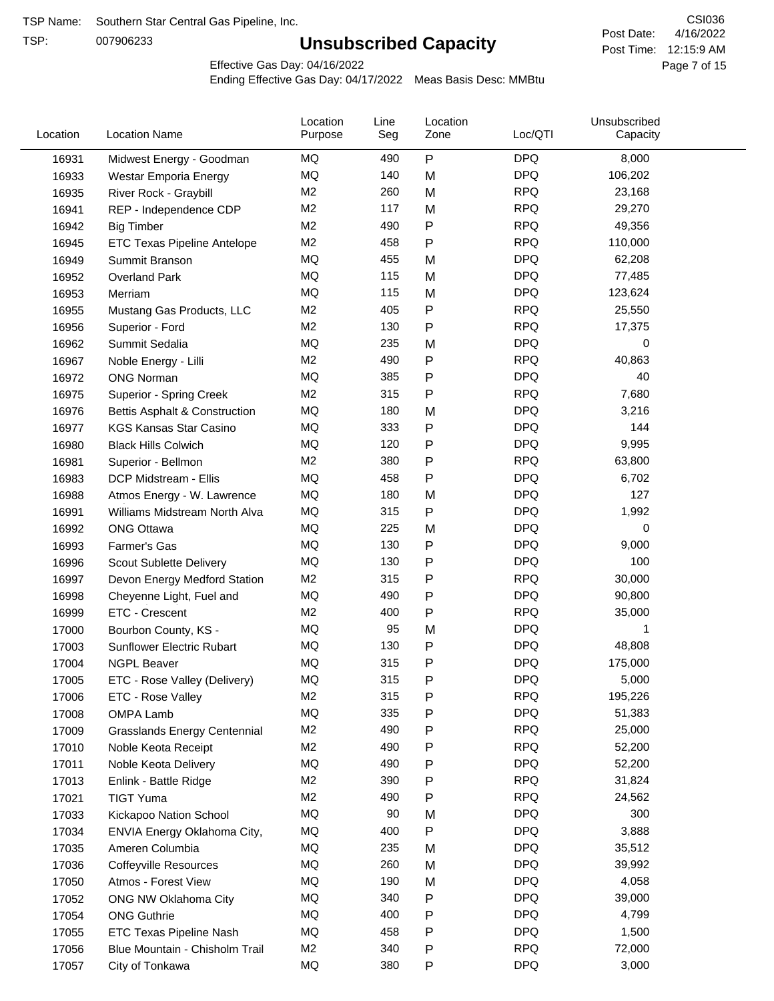TSP:

# **Unsubscribed Capacity**

4/16/2022 Page 7 of 15 Post Time: 12:15:9 AM CSI036 Post Date:

Effective Gas Day: 04/16/2022

| Location | <b>Location Name</b>                | Location<br>Purpose | Line<br>Seg | Location<br>Zone | Loc/QTI    | Unsubscribed<br>Capacity |  |
|----------|-------------------------------------|---------------------|-------------|------------------|------------|--------------------------|--|
| 16931    | Midwest Energy - Goodman            | MQ                  | 490         | P                | <b>DPQ</b> | 8,000                    |  |
| 16933    | Westar Emporia Energy               | MQ                  | 140         | M                | <b>DPQ</b> | 106,202                  |  |
| 16935    | River Rock - Graybill               | M <sub>2</sub>      | 260         | M                | <b>RPQ</b> | 23,168                   |  |
| 16941    | REP - Independence CDP              | M <sub>2</sub>      | 117         | M                | <b>RPQ</b> | 29,270                   |  |
| 16942    | <b>Big Timber</b>                   | M <sub>2</sub>      | 490         | P                | <b>RPQ</b> | 49,356                   |  |
| 16945    | ETC Texas Pipeline Antelope         | M <sub>2</sub>      | 458         | P                | <b>RPQ</b> | 110,000                  |  |
| 16949    | Summit Branson                      | MQ                  | 455         | M                | <b>DPQ</b> | 62,208                   |  |
| 16952    | <b>Overland Park</b>                | MQ                  | 115         | M                | <b>DPQ</b> | 77,485                   |  |
| 16953    | Merriam                             | MQ                  | 115         | M                | <b>DPQ</b> | 123,624                  |  |
| 16955    | Mustang Gas Products, LLC           | M <sub>2</sub>      | 405         | $\mathsf{P}$     | <b>RPQ</b> | 25,550                   |  |
| 16956    | Superior - Ford                     | M <sub>2</sub>      | 130         | P                | <b>RPQ</b> | 17,375                   |  |
| 16962    | Summit Sedalia                      | MQ                  | 235         | M                | <b>DPQ</b> | 0                        |  |
| 16967    | Noble Energy - Lilli                | M <sub>2</sub>      | 490         | P                | <b>RPQ</b> | 40,863                   |  |
| 16972    | <b>ONG Norman</b>                   | MQ                  | 385         | P                | <b>DPQ</b> | 40                       |  |
| 16975    | <b>Superior - Spring Creek</b>      | M <sub>2</sub>      | 315         | Ρ                | <b>RPQ</b> | 7,680                    |  |
| 16976    | Bettis Asphalt & Construction       | MQ                  | 180         | M                | <b>DPQ</b> | 3,216                    |  |
| 16977    | <b>KGS Kansas Star Casino</b>       | MQ                  | 333         | P                | <b>DPQ</b> | 144                      |  |
| 16980    | <b>Black Hills Colwich</b>          | MQ                  | 120         | $\mathsf{P}$     | <b>DPQ</b> | 9,995                    |  |
| 16981    | Superior - Bellmon                  | M <sub>2</sub>      | 380         | P                | <b>RPQ</b> | 63,800                   |  |
| 16983    | DCP Midstream - Ellis               | MQ                  | 458         | P                | <b>DPQ</b> | 6,702                    |  |
| 16988    | Atmos Energy - W. Lawrence          | MQ                  | 180         | M                | <b>DPQ</b> | 127                      |  |
| 16991    | Williams Midstream North Alva       | MQ                  | 315         | P                | <b>DPQ</b> | 1,992                    |  |
| 16992    | <b>ONG Ottawa</b>                   | MQ                  | 225         | M                | <b>DPQ</b> | 0                        |  |
| 16993    | Farmer's Gas                        | MQ                  | 130         | Ρ                | <b>DPQ</b> | 9,000                    |  |
| 16996    | Scout Sublette Delivery             | MQ                  | 130         | P                | <b>DPQ</b> | 100                      |  |
| 16997    | Devon Energy Medford Station        | M <sub>2</sub>      | 315         | P                | <b>RPQ</b> | 30,000                   |  |
| 16998    | Cheyenne Light, Fuel and            | MQ                  | 490         | P                | <b>DPQ</b> | 90,800                   |  |
| 16999    | ETC - Crescent                      | M <sub>2</sub>      | 400         | $\mathsf{P}$     | <b>RPQ</b> | 35,000                   |  |
| 17000    | Bourbon County, KS -                | MQ                  | 95          | M                | <b>DPQ</b> | 1                        |  |
| 17003    | Sunflower Electric Rubart           | MQ                  | 130         | P                | <b>DPQ</b> | 48,808                   |  |
| 17004    | <b>NGPL Beaver</b>                  | MQ                  | 315         | P                | <b>DPQ</b> | 175,000                  |  |
| 17005    | ETC - Rose Valley (Delivery)        | MQ                  | 315         | P                | <b>DPQ</b> | 5,000                    |  |
| 17006    | ETC - Rose Valley                   | M <sub>2</sub>      | 315         | P                | <b>RPQ</b> | 195,226                  |  |
| 17008    | OMPA Lamb                           | MQ                  | 335         | P                | <b>DPQ</b> | 51,383                   |  |
| 17009    | <b>Grasslands Energy Centennial</b> | M <sub>2</sub>      | 490         | P                | <b>RPQ</b> | 25,000                   |  |
| 17010    | Noble Keota Receipt                 | M <sub>2</sub>      | 490         | P                | <b>RPQ</b> | 52,200                   |  |
| 17011    | Noble Keota Delivery                | MQ                  | 490         | P                | <b>DPQ</b> | 52,200                   |  |
| 17013    | Enlink - Battle Ridge               | M <sub>2</sub>      | 390         | Ρ                | <b>RPQ</b> | 31,824                   |  |
| 17021    | <b>TIGT Yuma</b>                    | M <sub>2</sub>      | 490         | ${\sf P}$        | <b>RPQ</b> | 24,562                   |  |
| 17033    | Kickapoo Nation School              | MQ                  | 90          | M                | <b>DPQ</b> | 300                      |  |
| 17034    | ENVIA Energy Oklahoma City,         | MQ                  | 400         | $\mathsf{P}$     | <b>DPQ</b> | 3,888                    |  |
| 17035    | Ameren Columbia                     | MQ                  | 235         | M                | <b>DPQ</b> | 35,512                   |  |
| 17036    | <b>Coffeyville Resources</b>        | MQ                  | 260         | M                | <b>DPQ</b> | 39,992                   |  |
| 17050    | Atmos - Forest View                 | MQ                  | 190         | M                | <b>DPQ</b> | 4,058                    |  |
| 17052    | ONG NW Oklahoma City                | MQ                  | 340         | P                | <b>DPQ</b> | 39,000                   |  |
| 17054    | <b>ONG Guthrie</b>                  | MQ                  | 400         | P                | <b>DPQ</b> | 4,799                    |  |
| 17055    | ETC Texas Pipeline Nash             | MQ                  | 458         | P                | <b>DPQ</b> | 1,500                    |  |
| 17056    | Blue Mountain - Chisholm Trail      | M <sub>2</sub>      | 340         | P                | <b>RPQ</b> | 72,000                   |  |
| 17057    | City of Tonkawa                     | MQ                  | 380         | $\mathsf{P}$     | <b>DPQ</b> | 3,000                    |  |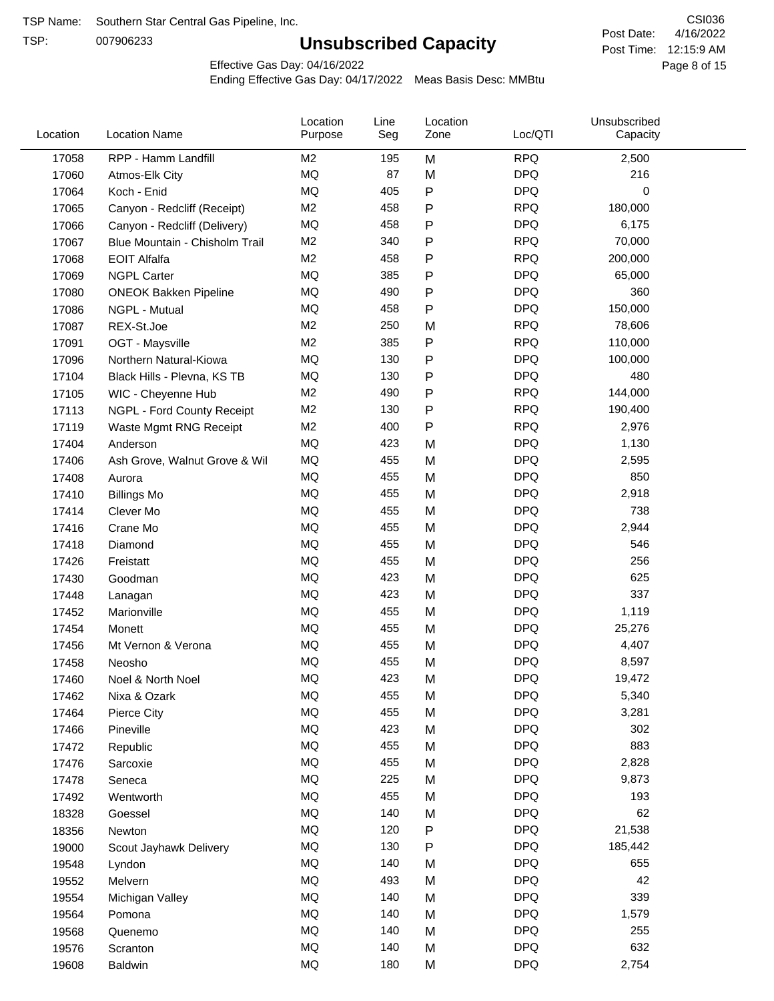TSP:

# **Unsubscribed Capacity**

4/16/2022 Page 8 of 15 Post Time: 12:15:9 AM CSI036 Post Date:

Effective Gas Day: 04/16/2022

| Location | <b>Location Name</b>           | Location<br>Purpose | Line<br>Seg | Location<br>Zone | Loc/QTI    | Unsubscribed<br>Capacity |  |
|----------|--------------------------------|---------------------|-------------|------------------|------------|--------------------------|--|
| 17058    | RPP - Hamm Landfill            | M <sub>2</sub>      | 195         | M                | <b>RPQ</b> | 2,500                    |  |
| 17060    | Atmos-Elk City                 | MQ                  | 87          | M                | <b>DPQ</b> | 216                      |  |
| 17064    | Koch - Enid                    | MQ                  | 405         | P                | <b>DPQ</b> | 0                        |  |
| 17065    | Canyon - Redcliff (Receipt)    | M <sub>2</sub>      | 458         | Ρ                | <b>RPQ</b> | 180,000                  |  |
| 17066    | Canyon - Redcliff (Delivery)   | MQ                  | 458         | Ρ                | <b>DPQ</b> | 6,175                    |  |
| 17067    | Blue Mountain - Chisholm Trail | M <sub>2</sub>      | 340         | Ρ                | <b>RPQ</b> | 70,000                   |  |
| 17068    | <b>EOIT Alfalfa</b>            | M <sub>2</sub>      | 458         | Ρ                | <b>RPQ</b> | 200,000                  |  |
| 17069    | <b>NGPL Carter</b>             | <b>MQ</b>           | 385         | Ρ                | <b>DPQ</b> | 65,000                   |  |
| 17080    | <b>ONEOK Bakken Pipeline</b>   | MQ                  | 490         | Ρ                | <b>DPQ</b> | 360                      |  |
| 17086    | NGPL - Mutual                  | MQ                  | 458         | P                | <b>DPQ</b> | 150,000                  |  |
| 17087    | REX-St.Joe                     | M <sub>2</sub>      | 250         | M                | <b>RPQ</b> | 78,606                   |  |
| 17091    | OGT - Maysville                | M <sub>2</sub>      | 385         | P                | <b>RPQ</b> | 110,000                  |  |
| 17096    | Northern Natural-Kiowa         | <b>MQ</b>           | 130         | Ρ                | <b>DPQ</b> | 100,000                  |  |
| 17104    | Black Hills - Plevna, KS TB    | MQ                  | 130         | Ρ                | <b>DPQ</b> | 480                      |  |
| 17105    | WIC - Cheyenne Hub             | M <sub>2</sub>      | 490         | P                | <b>RPQ</b> | 144,000                  |  |
| 17113    | NGPL - Ford County Receipt     | M <sub>2</sub>      | 130         | Ρ                | <b>RPQ</b> | 190,400                  |  |
| 17119    | Waste Mgmt RNG Receipt         | M <sub>2</sub>      | 400         | P                | <b>RPQ</b> | 2,976                    |  |
| 17404    | Anderson                       | MQ                  | 423         | M                | <b>DPQ</b> | 1,130                    |  |
| 17406    | Ash Grove, Walnut Grove & Wil  | MQ                  | 455         | M                | <b>DPQ</b> | 2,595                    |  |
| 17408    | Aurora                         | MQ                  | 455         | M                | <b>DPQ</b> | 850                      |  |
| 17410    | <b>Billings Mo</b>             | MQ                  | 455         | M                | <b>DPQ</b> | 2,918                    |  |
| 17414    | Clever Mo                      | <b>MQ</b>           | 455         | M                | <b>DPQ</b> | 738                      |  |
| 17416    | Crane Mo                       | <b>MQ</b>           | 455         | M                | <b>DPQ</b> | 2,944                    |  |
| 17418    | Diamond                        | <b>MQ</b>           | 455         | M                | <b>DPQ</b> | 546                      |  |
| 17426    | Freistatt                      | <b>MQ</b>           | 455         | M                | <b>DPQ</b> | 256                      |  |
| 17430    | Goodman                        | MQ                  | 423         | M                | <b>DPQ</b> | 625                      |  |
| 17448    | Lanagan                        | MQ                  | 423         | M                | <b>DPQ</b> | 337                      |  |
| 17452    | Marionville                    | MQ                  | 455         | M                | <b>DPQ</b> | 1,119                    |  |
| 17454    | Monett                         | MQ                  | 455         | M                | <b>DPQ</b> | 25,276                   |  |
| 17456    | Mt Vernon & Verona             | MQ                  | 455         | M                | <b>DPQ</b> | 4,407                    |  |
| 17458    | Neosho                         | MQ                  | 455         | M                | <b>DPQ</b> | 8,597                    |  |
| 17460    | Noel & North Noel              | MQ                  | 423         | M                | <b>DPQ</b> | 19,472                   |  |
| 17462    | Nixa & Ozark                   | MQ                  | 455         | M                | <b>DPQ</b> | 5,340                    |  |
| 17464    | Pierce City                    | MQ                  | 455         | M                | <b>DPQ</b> | 3,281                    |  |
| 17466    | Pineville                      | MQ                  | 423         | M                | <b>DPQ</b> | 302                      |  |
| 17472    | Republic                       | MQ                  | 455         | M                | <b>DPQ</b> | 883                      |  |
| 17476    | Sarcoxie                       | MQ                  | 455         | M                | <b>DPQ</b> | 2,828                    |  |
| 17478    | Seneca                         | MQ                  | 225         | M                | <b>DPQ</b> | 9,873                    |  |
| 17492    | Wentworth                      | MQ                  | 455         | M                | <b>DPQ</b> | 193                      |  |
| 18328    | Goessel                        | MQ                  | 140         | M                | <b>DPQ</b> | 62                       |  |
| 18356    | Newton                         | MQ                  | 120         | P                | <b>DPQ</b> | 21,538                   |  |
| 19000    | Scout Jayhawk Delivery         | MQ                  | 130         | Ρ                | <b>DPQ</b> | 185,442                  |  |
| 19548    | Lyndon                         | MQ                  | 140         | M                | <b>DPQ</b> | 655                      |  |
| 19552    | Melvern                        | MQ                  | 493         | M                | <b>DPQ</b> | 42                       |  |
| 19554    | Michigan Valley                | MQ                  | 140         | M                | <b>DPQ</b> | 339                      |  |
| 19564    | Pomona                         | MQ                  | 140         | M                | <b>DPQ</b> | 1,579                    |  |
| 19568    | Quenemo                        | MQ                  | 140         | M                | <b>DPQ</b> | 255                      |  |
| 19576    | Scranton                       | MQ                  | 140         | M                | <b>DPQ</b> | 632                      |  |
| 19608    | <b>Baldwin</b>                 | $\sf{MQ}$           | 180         | М                | <b>DPQ</b> | 2,754                    |  |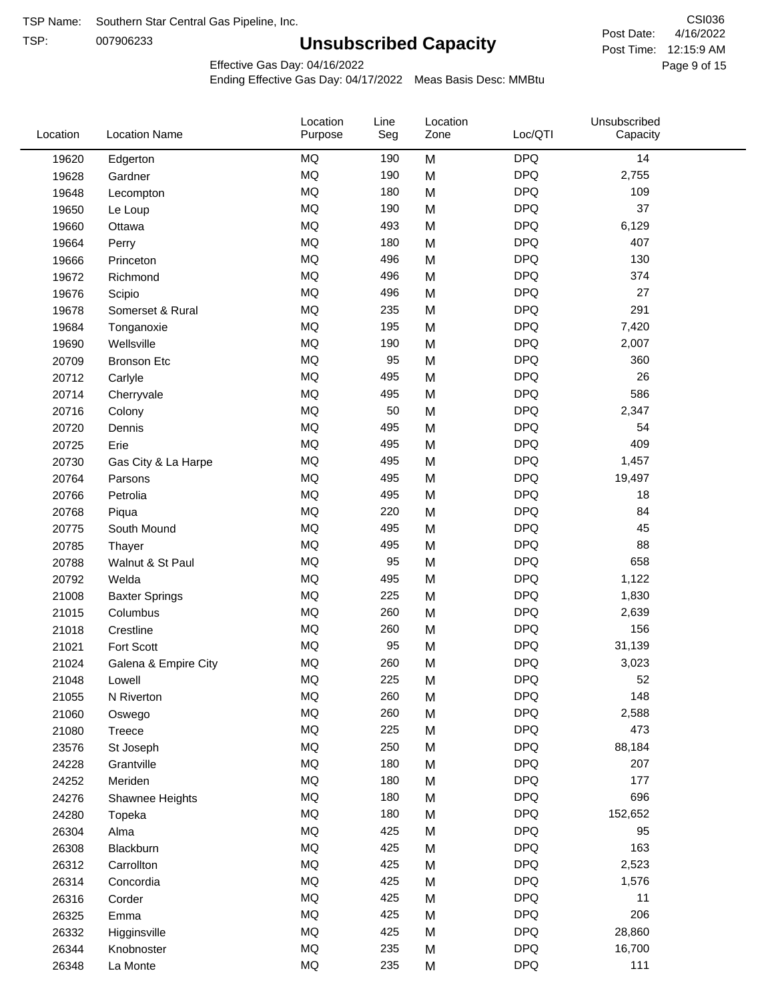TSP:

# **Unsubscribed Capacity**

4/16/2022 Page 9 of 15 Post Time: 12:15:9 AM CSI036 Post Date:

Effective Gas Day: 04/16/2022

| Location | <b>Location Name</b>  | Location<br>Purpose | Line<br>Seg | Location<br>Zone | Loc/QTI    | Unsubscribed<br>Capacity |  |
|----------|-----------------------|---------------------|-------------|------------------|------------|--------------------------|--|
| 19620    | Edgerton              | <b>MQ</b>           | 190         | M                | <b>DPQ</b> | 14                       |  |
| 19628    | Gardner               | MQ                  | 190         | M                | <b>DPQ</b> | 2,755                    |  |
| 19648    | Lecompton             | MQ                  | 180         | M                | <b>DPQ</b> | 109                      |  |
| 19650    | Le Loup               | <b>MQ</b>           | 190         | M                | <b>DPQ</b> | 37                       |  |
| 19660    | Ottawa                | <b>MQ</b>           | 493         | M                | <b>DPQ</b> | 6,129                    |  |
| 19664    | Perry                 | <b>MQ</b>           | 180         | M                | <b>DPQ</b> | 407                      |  |
| 19666    | Princeton             | MQ                  | 496         | M                | <b>DPQ</b> | 130                      |  |
| 19672    | Richmond              | MQ                  | 496         | M                | <b>DPQ</b> | 374                      |  |
| 19676    | Scipio                | <b>MQ</b>           | 496         | M                | <b>DPQ</b> | 27                       |  |
| 19678    | Somerset & Rural      | <b>MQ</b>           | 235         | M                | <b>DPQ</b> | 291                      |  |
| 19684    | Tonganoxie            | <b>MQ</b>           | 195         | M                | <b>DPQ</b> | 7,420                    |  |
| 19690    | Wellsville            | <b>MQ</b>           | 190         | M                | <b>DPQ</b> | 2,007                    |  |
| 20709    | <b>Bronson Etc</b>    | <b>MQ</b>           | 95          | M                | <b>DPQ</b> | 360                      |  |
| 20712    | Carlyle               | <b>MQ</b>           | 495         | M                | <b>DPQ</b> | 26                       |  |
| 20714    | Cherryvale            | <b>MQ</b>           | 495         | M                | <b>DPQ</b> | 586                      |  |
| 20716    | Colony                | <b>MQ</b>           | 50          | M                | <b>DPQ</b> | 2,347                    |  |
| 20720    | Dennis                | <b>MQ</b>           | 495         | M                | <b>DPQ</b> | 54                       |  |
| 20725    | Erie                  | MQ                  | 495         | M                | <b>DPQ</b> | 409                      |  |
| 20730    | Gas City & La Harpe   | <b>MQ</b>           | 495         | M                | <b>DPQ</b> | 1,457                    |  |
| 20764    | Parsons               | <b>MQ</b>           | 495         | M                | <b>DPQ</b> | 19,497                   |  |
| 20766    | Petrolia              | <b>MQ</b>           | 495         | M                | <b>DPQ</b> | 18                       |  |
| 20768    | Piqua                 | <b>MQ</b>           | 220         | M                | <b>DPQ</b> | 84                       |  |
| 20775    | South Mound           | <b>MQ</b>           | 495         | M                | <b>DPQ</b> | 45                       |  |
| 20785    | Thayer                | <b>MQ</b>           | 495         | M                | <b>DPQ</b> | 88                       |  |
| 20788    | Walnut & St Paul      | MQ                  | 95          | M                | <b>DPQ</b> | 658                      |  |
| 20792    | Welda                 | <b>MQ</b>           | 495         | M                | <b>DPQ</b> | 1,122                    |  |
| 21008    | <b>Baxter Springs</b> | <b>MQ</b>           | 225         | M                | <b>DPQ</b> | 1,830                    |  |
| 21015    | Columbus              | <b>MQ</b>           | 260         | M                | <b>DPQ</b> | 2,639                    |  |
| 21018    | Crestline             | <b>MQ</b>           | 260         | M                | <b>DPQ</b> | 156                      |  |
| 21021    | Fort Scott            | <b>MQ</b>           | 95          | M                | <b>DPQ</b> | 31,139                   |  |
| 21024    | Galena & Empire City  | <b>MQ</b>           | 260         | M                | <b>DPQ</b> | 3,023                    |  |
| 21048    | Lowell                | <b>MQ</b>           | 225         | M                | <b>DPQ</b> | 52                       |  |
| 21055    | N Riverton            | MQ                  | 260         | M                | <b>DPQ</b> | 148                      |  |
| 21060    | Oswego                | $\sf{MQ}$           | 260         | M                | <b>DPQ</b> | 2,588                    |  |
| 21080    | Treece                | <b>MQ</b>           | 225         | M                | <b>DPQ</b> | 473                      |  |
| 23576    | St Joseph             | MQ                  | 250         | M                | <b>DPQ</b> | 88,184                   |  |
| 24228    | Grantville            | MQ                  | 180         | M                | <b>DPQ</b> | 207                      |  |
| 24252    | Meriden               | MQ                  | 180         | M                | <b>DPQ</b> | 177                      |  |
| 24276    | Shawnee Heights       | $\sf{MQ}$           | 180         | M                | <b>DPQ</b> | 696                      |  |
| 24280    | Topeka                | $\sf{MQ}$           | 180         | M                | <b>DPQ</b> | 152,652                  |  |
| 26304    | Alma                  | MQ                  | 425         | M                | <b>DPQ</b> | 95                       |  |
| 26308    | Blackburn             | MQ                  | 425         | M                | <b>DPQ</b> | 163                      |  |
| 26312    | Carrollton            | MQ                  | 425         | M                | <b>DPQ</b> | 2,523                    |  |
| 26314    | Concordia             | <b>MQ</b>           | 425         | M                | <b>DPQ</b> | 1,576                    |  |
| 26316    | Corder                | <b>MQ</b>           | 425         | M                | <b>DPQ</b> | 11                       |  |
| 26325    | Emma                  | MQ                  | 425         | M                | <b>DPQ</b> | 206                      |  |
| 26332    | Higginsville          | MQ                  | 425         | M                | <b>DPQ</b> | 28,860                   |  |
| 26344    | Knobnoster            | $\sf{MQ}$           | 235         | M                | <b>DPQ</b> | 16,700                   |  |
| 26348    | La Monte              | $\sf{MQ}$           | 235         | M                | <b>DPQ</b> | 111                      |  |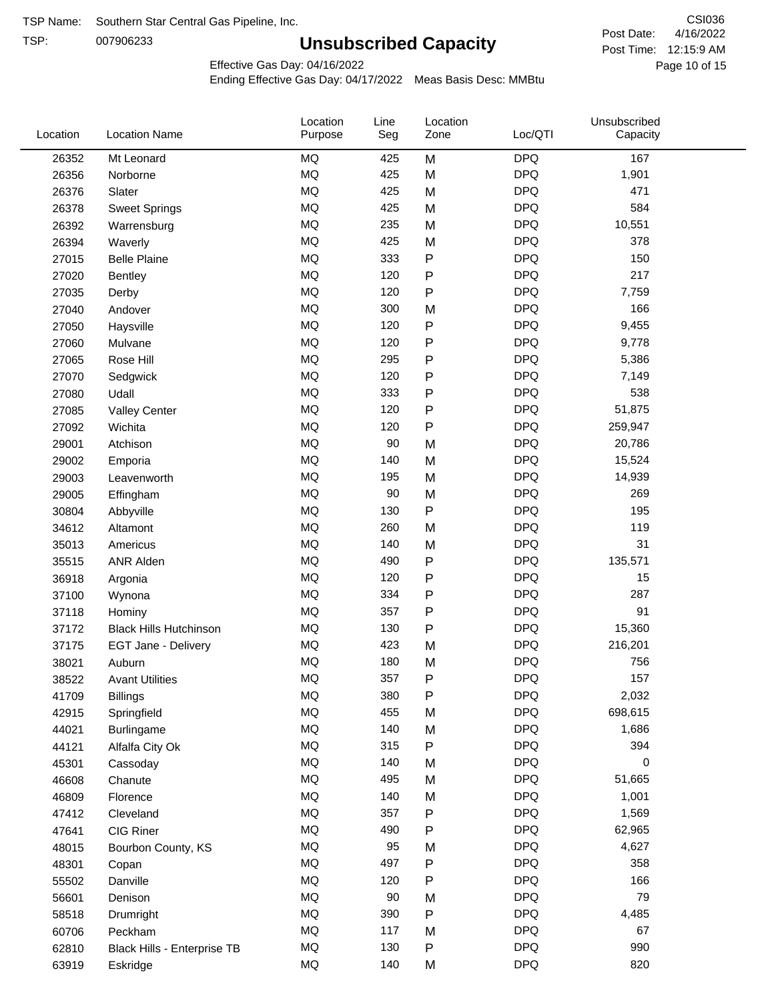TSP:

# **Unsubscribed Capacity**

4/16/2022 Page 10 of 15 Post Time: 12:15:9 AM CSI036 Post Date:

Effective Gas Day: 04/16/2022

| Location | <b>Location Name</b>          | Location<br>Purpose | Line<br>Seg | Location<br>Zone | Loc/QTI    | Unsubscribed<br>Capacity |  |
|----------|-------------------------------|---------------------|-------------|------------------|------------|--------------------------|--|
| 26352    | Mt Leonard                    | <b>MQ</b>           | 425         | M                | <b>DPQ</b> | 167                      |  |
| 26356    | Norborne                      | <b>MQ</b>           | 425         | M                | <b>DPQ</b> | 1,901                    |  |
| 26376    | Slater                        | <b>MQ</b>           | 425         | M                | <b>DPQ</b> | 471                      |  |
| 26378    | <b>Sweet Springs</b>          | <b>MQ</b>           | 425         | M                | <b>DPQ</b> | 584                      |  |
| 26392    | Warrensburg                   | <b>MQ</b>           | 235         | M                | <b>DPQ</b> | 10,551                   |  |
| 26394    | Waverly                       | <b>MQ</b>           | 425         | M                | <b>DPQ</b> | 378                      |  |
| 27015    | <b>Belle Plaine</b>           | MQ                  | 333         | P                | <b>DPQ</b> | 150                      |  |
| 27020    | <b>Bentley</b>                | MQ                  | 120         | P                | <b>DPQ</b> | 217                      |  |
| 27035    | Derby                         | MQ                  | 120         | ${\sf P}$        | <b>DPQ</b> | 7,759                    |  |
| 27040    | Andover                       | <b>MQ</b>           | 300         | M                | <b>DPQ</b> | 166                      |  |
| 27050    | Haysville                     | <b>MQ</b>           | 120         | P                | <b>DPQ</b> | 9,455                    |  |
| 27060    | Mulvane                       | <b>MQ</b>           | 120         | P                | <b>DPQ</b> | 9,778                    |  |
| 27065    | Rose Hill                     | MQ                  | 295         | P                | <b>DPQ</b> | 5,386                    |  |
| 27070    | Sedgwick                      | MQ                  | 120         | P                | <b>DPQ</b> | 7,149                    |  |
| 27080    | Udall                         | MQ                  | 333         | P                | <b>DPQ</b> | 538                      |  |
| 27085    | <b>Valley Center</b>          | MQ                  | 120         | P                | <b>DPQ</b> | 51,875                   |  |
| 27092    | Wichita                       | MQ                  | 120         | $\mathsf{P}$     | <b>DPQ</b> | 259,947                  |  |
| 29001    | Atchison                      | MQ                  | 90          | M                | <b>DPQ</b> | 20,786                   |  |
| 29002    | Emporia                       | <b>MQ</b>           | 140         | M                | <b>DPQ</b> | 15,524                   |  |
| 29003    | Leavenworth                   | <b>MQ</b>           | 195         | M                | <b>DPQ</b> | 14,939                   |  |
| 29005    | Effingham                     | MQ                  | 90          | M                | <b>DPQ</b> | 269                      |  |
| 30804    | Abbyville                     | MQ                  | 130         | P                | <b>DPQ</b> | 195                      |  |
| 34612    | Altamont                      | <b>MQ</b>           | 260         | M                | <b>DPQ</b> | 119                      |  |
| 35013    | Americus                      | <b>MQ</b>           | 140         | M                | <b>DPQ</b> | 31                       |  |
| 35515    | <b>ANR Alden</b>              | <b>MQ</b>           | 490         | P                | <b>DPQ</b> | 135,571                  |  |
| 36918    | Argonia                       | MQ                  | 120         | P                | <b>DPQ</b> | 15                       |  |
| 37100    | Wynona                        | MQ                  | 334         | P                | <b>DPQ</b> | 287                      |  |
| 37118    | Hominy                        | <b>MQ</b>           | 357         | P                | <b>DPQ</b> | 91                       |  |
| 37172    | <b>Black Hills Hutchinson</b> | MQ                  | 130         | P                | <b>DPQ</b> | 15,360                   |  |
| 37175    | EGT Jane - Delivery           | MQ                  | 423         | M                | <b>DPQ</b> | 216,201                  |  |
| 38021    | Auburn                        | MQ                  | 180         | M                | <b>DPQ</b> | 756                      |  |
| 38522    | <b>Avant Utilities</b>        | MQ                  | 357         | P                | <b>DPQ</b> | 157                      |  |
| 41709    | <b>Billings</b>               | MQ                  | 380         | P                | <b>DPQ</b> | 2,032                    |  |
| 42915    | Springfield                   | $\sf{MQ}$           | 455         | M                | <b>DPQ</b> | 698,615                  |  |
| 44021    | Burlingame                    | $\sf{MQ}$           | 140         | M                | <b>DPQ</b> | 1,686                    |  |
| 44121    | Alfalfa City Ok               | MQ                  | 315         | ${\sf P}$        | <b>DPQ</b> | 394                      |  |
| 45301    | Cassoday                      | MQ                  | 140         | M                | <b>DPQ</b> | 0                        |  |
| 46608    | Chanute                       | MQ                  | 495         | M                | <b>DPQ</b> | 51,665                   |  |
| 46809    | Florence                      | MQ                  | 140         | M                | <b>DPQ</b> | 1,001                    |  |
| 47412    | Cleveland                     | MQ                  | 357         | P                | <b>DPQ</b> | 1,569                    |  |
| 47641    | CIG Riner                     | MQ                  | 490         | P                | <b>DPQ</b> | 62,965                   |  |
| 48015    | Bourbon County, KS            | MQ                  | 95          | M                | <b>DPQ</b> | 4,627                    |  |
| 48301    | Copan                         | MQ                  | 497         | ${\sf P}$        | <b>DPQ</b> | 358                      |  |
| 55502    | Danville                      | $\sf{MQ}$           | 120         | P                | <b>DPQ</b> | 166                      |  |
| 56601    | Denison                       | MQ                  | 90          | M                | <b>DPQ</b> | 79                       |  |
| 58518    | Drumright                     | MQ                  | 390         | P                | <b>DPQ</b> | 4,485                    |  |
| 60706    | Peckham                       | MQ                  | 117         | M                | <b>DPQ</b> | 67                       |  |
| 62810    | Black Hills - Enterprise TB   | MQ                  | 130         | P                | <b>DPQ</b> | 990                      |  |
| 63919    | Eskridge                      | $\sf{MQ}$           | 140         | M                | <b>DPQ</b> | 820                      |  |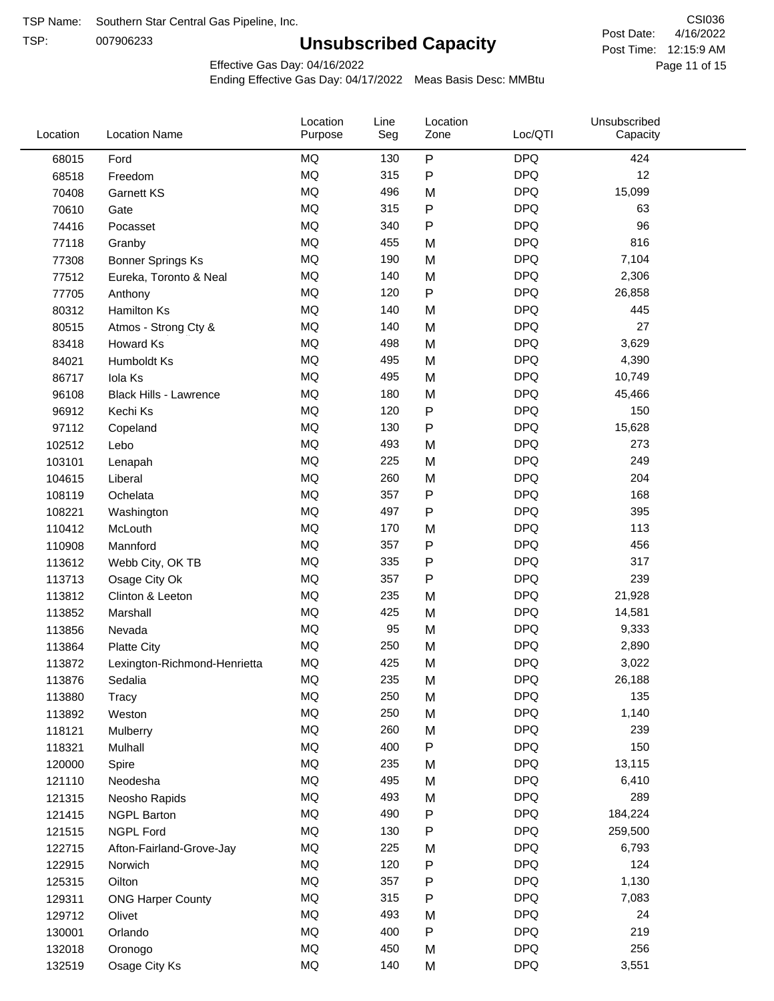TSP:

# **Unsubscribed Capacity**

4/16/2022 Page 11 of 15 Post Time: 12:15:9 AM CSI036 Post Date:

Effective Gas Day: 04/16/2022

| Location | <b>Location Name</b>          | Location<br>Purpose | Line<br>Seg | Location<br>Zone | Loc/QTI    | Unsubscribed<br>Capacity |  |
|----------|-------------------------------|---------------------|-------------|------------------|------------|--------------------------|--|
| 68015    | Ford                          | <b>MQ</b>           | 130         | P                | <b>DPQ</b> | 424                      |  |
| 68518    | Freedom                       | MQ                  | 315         | $\sf P$          | <b>DPQ</b> | 12                       |  |
| 70408    | <b>Garnett KS</b>             | <b>MQ</b>           | 496         | M                | <b>DPQ</b> | 15,099                   |  |
| 70610    | Gate                          | <b>MQ</b>           | 315         | P                | <b>DPQ</b> | 63                       |  |
| 74416    | Pocasset                      | <b>MQ</b>           | 340         | P                | <b>DPQ</b> | 96                       |  |
| 77118    | Granby                        | MQ                  | 455         | M                | <b>DPQ</b> | 816                      |  |
| 77308    | <b>Bonner Springs Ks</b>      | MQ                  | 190         | M                | <b>DPQ</b> | 7,104                    |  |
| 77512    | Eureka, Toronto & Neal        | MQ                  | 140         | M                | <b>DPQ</b> | 2,306                    |  |
| 77705    | Anthony                       | <b>MQ</b>           | 120         | P                | <b>DPQ</b> | 26,858                   |  |
| 80312    | Hamilton Ks                   | <b>MQ</b>           | 140         | M                | <b>DPQ</b> | 445                      |  |
| 80515    | Atmos - Strong Cty &          | MQ                  | 140         | M                | <b>DPQ</b> | 27                       |  |
| 83418    | Howard Ks                     | <b>MQ</b>           | 498         | M                | <b>DPQ</b> | 3,629                    |  |
| 84021    | Humboldt Ks                   | MQ                  | 495         | M                | <b>DPQ</b> | 4,390                    |  |
| 86717    | Iola Ks                       | MQ                  | 495         | M                | <b>DPQ</b> | 10,749                   |  |
| 96108    | <b>Black Hills - Lawrence</b> | MQ                  | 180         | M                | <b>DPQ</b> | 45,466                   |  |
| 96912    | Kechi Ks                      | MQ                  | 120         | P                | <b>DPQ</b> | 150                      |  |
| 97112    | Copeland                      | MQ                  | 130         | P                | <b>DPQ</b> | 15,628                   |  |
| 102512   | Lebo                          | <b>MQ</b>           | 493         | M                | <b>DPQ</b> | 273                      |  |
| 103101   | Lenapah                       | <b>MQ</b>           | 225         | M                | <b>DPQ</b> | 249                      |  |
| 104615   | Liberal                       | <b>MQ</b>           | 260         | M                | <b>DPQ</b> | 204                      |  |
| 108119   | Ochelata                      | MQ                  | 357         | P                | <b>DPQ</b> | 168                      |  |
| 108221   | Washington                    | MQ                  | 497         | P                | <b>DPQ</b> | 395                      |  |
| 110412   | McLouth                       | MQ                  | 170         | M                | <b>DPQ</b> | 113                      |  |
| 110908   | Mannford                      | MQ                  | 357         | P                | <b>DPQ</b> | 456                      |  |
| 113612   | Webb City, OK TB              | MQ                  | 335         | P                | <b>DPQ</b> | 317                      |  |
| 113713   | Osage City Ok                 | <b>MQ</b>           | 357         | P                | <b>DPQ</b> | 239                      |  |
| 113812   | Clinton & Leeton              | <b>MQ</b>           | 235         | M                | <b>DPQ</b> | 21,928                   |  |
| 113852   | Marshall                      | MQ                  | 425         | M                | <b>DPQ</b> | 14,581                   |  |
| 113856   | Nevada                        | MQ                  | 95          | M                | <b>DPQ</b> | 9,333                    |  |
| 113864   | <b>Platte City</b>            | <b>MQ</b>           | 250         | M                | <b>DPQ</b> | 2,890                    |  |
| 113872   | Lexington-Richmond-Henrietta  | <b>MQ</b>           | 425         | M                | <b>DPQ</b> | 3,022                    |  |
| 113876   | Sedalia                       | MQ                  | 235         | M                | <b>DPQ</b> | 26,188                   |  |
| 113880   | <b>Tracy</b>                  | MQ                  | 250         | M                | <b>DPQ</b> | 135                      |  |
| 113892   | Weston                        | $\sf{MQ}$           | 250         | M                | <b>DPQ</b> | 1,140                    |  |
| 118121   | Mulberry                      | MQ                  | 260         | M                | <b>DPQ</b> | 239                      |  |
| 118321   | Mulhall                       | MQ                  | 400         | P                | <b>DPQ</b> | 150                      |  |
| 120000   | Spire                         | MQ                  | 235         | M                | <b>DPQ</b> | 13,115                   |  |
| 121110   | Neodesha                      | MQ                  | 495         | M                | <b>DPQ</b> | 6,410                    |  |
| 121315   | Neosho Rapids                 | $\sf{MQ}$           | 493         | M                | <b>DPQ</b> | 289                      |  |
| 121415   | <b>NGPL Barton</b>            | $\sf{MQ}$           | 490         | Ρ                | <b>DPQ</b> | 184,224                  |  |
| 121515   | NGPL Ford                     | MQ                  | 130         | Ρ                | <b>DPQ</b> | 259,500                  |  |
| 122715   | Afton-Fairland-Grove-Jay      | MQ                  | 225         | M                | <b>DPQ</b> | 6,793                    |  |
| 122915   | Norwich                       | MQ                  | 120         | Ρ                | <b>DPQ</b> | 124                      |  |
| 125315   | Oilton                        | MQ                  | 357         | P                | <b>DPQ</b> | 1,130                    |  |
| 129311   | <b>ONG Harper County</b>      | MQ                  | 315         | Ρ                | <b>DPQ</b> | 7,083                    |  |
| 129712   | Olivet                        | MQ                  | 493         | M                | <b>DPQ</b> | 24                       |  |
| 130001   | Orlando                       | MQ                  | 400         | P                | <b>DPQ</b> | 219                      |  |
| 132018   | Oronogo                       | MQ                  | 450         | M                | <b>DPQ</b> | 256                      |  |
| 132519   | Osage City Ks                 | $\sf{MQ}$           | 140         | M                | <b>DPQ</b> | 3,551                    |  |
|          |                               |                     |             |                  |            |                          |  |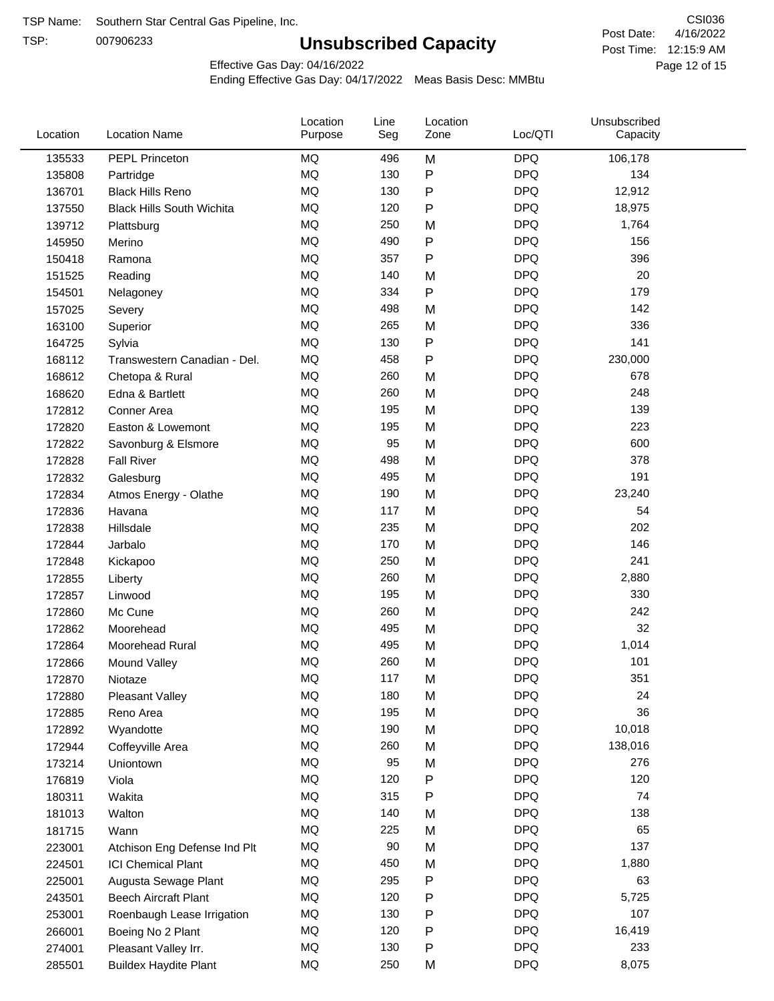TSP:

# **Unsubscribed Capacity**

4/16/2022 Page 12 of 15 Post Time: 12:15:9 AM CSI036 Post Date:

Effective Gas Day: 04/16/2022

| Location | <b>Location Name</b>             | Location<br>Purpose | Line<br>Seg | Location<br>Zone | Loc/QTI    | Unsubscribed<br>Capacity |  |
|----------|----------------------------------|---------------------|-------------|------------------|------------|--------------------------|--|
| 135533   | PEPL Princeton                   | MQ                  | 496         | M                | <b>DPQ</b> | 106,178                  |  |
| 135808   | Partridge                        | MQ                  | 130         | P                | <b>DPQ</b> | 134                      |  |
| 136701   | <b>Black Hills Reno</b>          | MQ                  | 130         | P                | <b>DPQ</b> | 12,912                   |  |
| 137550   | <b>Black Hills South Wichita</b> | <b>MQ</b>           | 120         | P                | <b>DPQ</b> | 18,975                   |  |
| 139712   | Plattsburg                       | MQ                  | 250         | M                | <b>DPQ</b> | 1,764                    |  |
| 145950   | Merino                           | <b>MQ</b>           | 490         | P                | <b>DPQ</b> | 156                      |  |
| 150418   | Ramona                           | MQ                  | 357         | Ρ                | <b>DPQ</b> | 396                      |  |
| 151525   | Reading                          | MQ                  | 140         | M                | <b>DPQ</b> | 20                       |  |
| 154501   | Nelagoney                        | MQ                  | 334         | P                | <b>DPQ</b> | 179                      |  |
| 157025   | Severy                           | <b>MQ</b>           | 498         | M                | <b>DPQ</b> | 142                      |  |
| 163100   | Superior                         | MQ                  | 265         | M                | <b>DPQ</b> | 336                      |  |
| 164725   | Sylvia                           | MQ                  | 130         | P                | <b>DPQ</b> | 141                      |  |
| 168112   | Transwestern Canadian - Del.     | MQ                  | 458         | P                | <b>DPQ</b> | 230,000                  |  |
| 168612   | Chetopa & Rural                  | MQ                  | 260         | M                | <b>DPQ</b> | 678                      |  |
| 168620   | Edna & Bartlett                  | MQ                  | 260         | M                | <b>DPQ</b> | 248                      |  |
| 172812   | Conner Area                      | MQ                  | 195         | M                | <b>DPQ</b> | 139                      |  |
| 172820   | Easton & Lowemont                | MQ                  | 195         | M                | <b>DPQ</b> | 223                      |  |
| 172822   | Savonburg & Elsmore              | MQ                  | 95          | M                | <b>DPQ</b> | 600                      |  |
| 172828   | <b>Fall River</b>                | MQ                  | 498         | M                | <b>DPQ</b> | 378                      |  |
| 172832   | Galesburg                        | MQ                  | 495         | M                | <b>DPQ</b> | 191                      |  |
| 172834   | Atmos Energy - Olathe            | MQ                  | 190         | M                | <b>DPQ</b> | 23,240                   |  |
| 172836   | Havana                           | <b>MQ</b>           | 117         | M                | <b>DPQ</b> | 54                       |  |
| 172838   | Hillsdale                        | MQ                  | 235         | M                | <b>DPQ</b> | 202                      |  |
| 172844   | Jarbalo                          | <b>MQ</b>           | 170         | M                | <b>DPQ</b> | 146                      |  |
| 172848   | Kickapoo                         | <b>MQ</b>           | 250         | M                | <b>DPQ</b> | 241                      |  |
| 172855   | Liberty                          | MQ                  | 260         | M                | <b>DPQ</b> | 2,880                    |  |
| 172857   | Linwood                          | MQ                  | 195         | M                | <b>DPQ</b> | 330                      |  |
| 172860   | Mc Cune                          | MQ                  | 260         | M                | <b>DPQ</b> | 242                      |  |
| 172862   | Moorehead                        | MQ                  | 495         | M                | <b>DPQ</b> | 32                       |  |
| 172864   | Moorehead Rural                  | <b>MQ</b>           | 495         | M                | <b>DPQ</b> | 1,014                    |  |
| 172866   | Mound Valley                     | <b>MQ</b>           | 260         | M                | <b>DPQ</b> | 101                      |  |
| 172870   | Niotaze                          | MQ                  | 117         | M                | <b>DPQ</b> | 351                      |  |
| 172880   | Pleasant Valley                  | MQ                  | 180         | M                | <b>DPQ</b> | 24                       |  |
| 172885   | Reno Area                        | MQ                  | 195         | M                | <b>DPQ</b> | 36                       |  |
| 172892   | Wyandotte                        | MQ                  | 190         | M                | <b>DPQ</b> | 10,018                   |  |
| 172944   | Coffeyville Area                 | MQ                  | 260         | M                | <b>DPQ</b> | 138,016                  |  |
| 173214   | Uniontown                        | MQ                  | 95          | M                | <b>DPQ</b> | 276                      |  |
| 176819   | Viola                            | MQ                  | 120         | P                | <b>DPQ</b> | 120                      |  |
| 180311   | Wakita                           | MQ                  | 315         | Ρ                | <b>DPQ</b> | 74                       |  |
| 181013   | Walton                           | MQ                  | 140         | M                | <b>DPQ</b> | 138                      |  |
| 181715   | Wann                             | MQ                  | 225         | M                | <b>DPQ</b> | 65                       |  |
| 223001   | Atchison Eng Defense Ind Plt     | MQ                  | 90          | M                | <b>DPQ</b> | 137                      |  |
| 224501   | <b>ICI Chemical Plant</b>        | $\sf{MQ}$           | 450         | M                | <b>DPQ</b> | 1,880                    |  |
| 225001   | Augusta Sewage Plant             | MQ                  | 295         | P                | <b>DPQ</b> | 63                       |  |
| 243501   | <b>Beech Aircraft Plant</b>      | MQ                  | 120         | P                | <b>DPQ</b> | 5,725                    |  |
| 253001   | Roenbaugh Lease Irrigation       | MQ                  | 130         | P                | <b>DPQ</b> | 107                      |  |
| 266001   | Boeing No 2 Plant                | MQ                  | 120         | P                | <b>DPQ</b> | 16,419                   |  |
| 274001   | Pleasant Valley Irr.             | MQ                  | 130         | P                | <b>DPQ</b> | 233                      |  |
| 285501   | <b>Buildex Haydite Plant</b>     | MQ                  | 250         | М                | <b>DPQ</b> | 8,075                    |  |
|          |                                  |                     |             |                  |            |                          |  |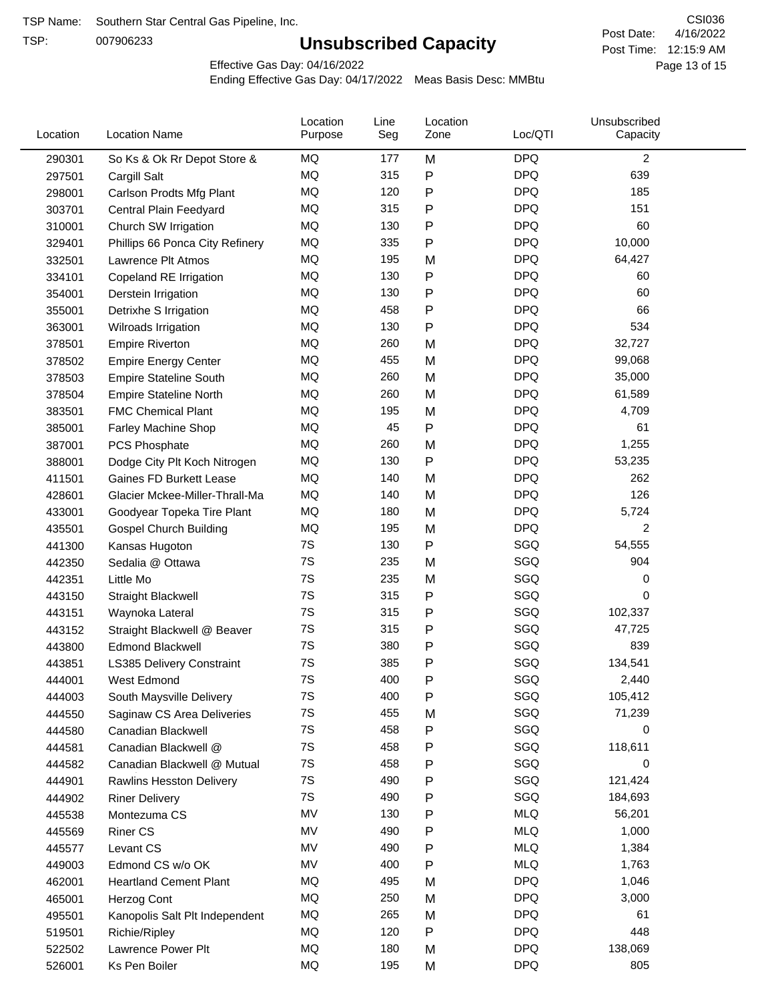TSP:

# **Unsubscribed Capacity**

4/16/2022 Page 13 of 15 Post Time: 12:15:9 AM CSI036 Post Date:

Effective Gas Day: 04/16/2022

| Location | <b>Location Name</b>             | Location<br>Purpose | Line<br>Seg | Location<br>Zone | Loc/QTI    | Unsubscribed<br>Capacity |  |
|----------|----------------------------------|---------------------|-------------|------------------|------------|--------------------------|--|
| 290301   | So Ks & Ok Rr Depot Store &      | MQ                  | 177         | M                | <b>DPQ</b> | $\overline{c}$           |  |
| 297501   | Cargill Salt                     | MQ                  | 315         | P                | <b>DPQ</b> | 639                      |  |
| 298001   | Carlson Prodts Mfg Plant         | MQ                  | 120         | Ρ                | <b>DPQ</b> | 185                      |  |
| 303701   | Central Plain Feedyard           | MQ                  | 315         | Ρ                | <b>DPQ</b> | 151                      |  |
| 310001   | Church SW Irrigation             | MQ                  | 130         | Ρ                | <b>DPQ</b> | 60                       |  |
| 329401   | Phillips 66 Ponca City Refinery  | MQ                  | 335         | P                | <b>DPQ</b> | 10,000                   |  |
| 332501   | Lawrence Plt Atmos               | MQ                  | 195         | M                | <b>DPQ</b> | 64,427                   |  |
| 334101   | Copeland RE Irrigation           | MQ                  | 130         | P                | <b>DPQ</b> | 60                       |  |
| 354001   | Derstein Irrigation              | MQ                  | 130         | Ρ                | <b>DPQ</b> | 60                       |  |
| 355001   | Detrixhe S Irrigation            | MQ                  | 458         | Ρ                | <b>DPQ</b> | 66                       |  |
| 363001   | Wilroads Irrigation              | MQ                  | 130         | P                | <b>DPQ</b> | 534                      |  |
| 378501   | <b>Empire Riverton</b>           | MQ                  | 260         | M                | <b>DPQ</b> | 32,727                   |  |
| 378502   | <b>Empire Energy Center</b>      | MQ                  | 455         | M                | <b>DPQ</b> | 99,068                   |  |
| 378503   | <b>Empire Stateline South</b>    | MQ                  | 260         | M                | <b>DPQ</b> | 35,000                   |  |
| 378504   | <b>Empire Stateline North</b>    | MQ                  | 260         | M                | <b>DPQ</b> | 61,589                   |  |
| 383501   | <b>FMC Chemical Plant</b>        | MQ                  | 195         | M                | <b>DPQ</b> | 4,709                    |  |
| 385001   | Farley Machine Shop              | MQ                  | 45          | P                | <b>DPQ</b> | 61                       |  |
| 387001   | <b>PCS Phosphate</b>             | MQ                  | 260         | M                | <b>DPQ</b> | 1,255                    |  |
| 388001   | Dodge City Plt Koch Nitrogen     | MQ                  | 130         | Ρ                | <b>DPQ</b> | 53,235                   |  |
| 411501   | Gaines FD Burkett Lease          | MQ                  | 140         | M                | <b>DPQ</b> | 262                      |  |
| 428601   | Glacier Mckee-Miller-Thrall-Ma   | MQ                  | 140         | M                | <b>DPQ</b> | 126                      |  |
| 433001   | Goodyear Topeka Tire Plant       | MQ                  | 180         | M                | <b>DPQ</b> | 5,724                    |  |
| 435501   | <b>Gospel Church Building</b>    | MQ                  | 195         | M                | <b>DPQ</b> | 2                        |  |
| 441300   | Kansas Hugoton                   | 7S                  | 130         | Ρ                | SGQ        | 54,555                   |  |
| 442350   | Sedalia @ Ottawa                 | 7S                  | 235         | M                | SGQ        | 904                      |  |
| 442351   | Little Mo                        | 7S                  | 235         | M                | SGQ        | 0                        |  |
| 443150   | <b>Straight Blackwell</b>        | 7S                  | 315         | P                | SGQ        | 0                        |  |
| 443151   | Waynoka Lateral                  | 7S                  | 315         | Ρ                | SGQ        | 102,337                  |  |
| 443152   | Straight Blackwell @ Beaver      | 7S                  | 315         | P                | SGQ        | 47,725                   |  |
| 443800   | <b>Edmond Blackwell</b>          | 7S                  | 380         | Ρ                | SGQ        | 839                      |  |
| 443851   | <b>LS385 Delivery Constraint</b> | 7S                  | 385         | Ρ                | SGQ        | 134,541                  |  |
| 444001   | West Edmond                      | 7S                  | 400         | Ρ                | SGQ        | 2,440                    |  |
| 444003   | South Maysville Delivery         | 7S                  | 400         | Ρ                | SGQ        | 105,412                  |  |
| 444550   | Saginaw CS Area Deliveries       | 7S                  | 455         | M                | SGQ        | 71,239                   |  |
| 444580   | Canadian Blackwell               | 7S                  | 458         | Ρ                | SGQ        | 0                        |  |
| 444581   | Canadian Blackwell @             | 7S                  | 458         | Ρ                | SGQ        | 118,611                  |  |
| 444582   | Canadian Blackwell @ Mutual      | 7S                  | 458         | Ρ                | SGQ        | 0                        |  |
| 444901   | Rawlins Hesston Delivery         | 7S                  | 490         | Ρ                | SGQ        | 121,424                  |  |
| 444902   | <b>Riner Delivery</b>            | 7S                  | 490         | Ρ                | SGQ        | 184,693                  |  |
| 445538   | Montezuma CS                     | MV                  | 130         | Ρ                | <b>MLQ</b> | 56,201                   |  |
| 445569   | <b>Riner CS</b>                  | MV                  | 490         | Ρ                | <b>MLQ</b> | 1,000                    |  |
| 445577   | Levant CS                        | MV                  | 490         | Ρ                | <b>MLQ</b> | 1,384                    |  |
| 449003   | Edmond CS w/o OK                 | MV                  | 400         | P                | <b>MLQ</b> | 1,763                    |  |
| 462001   | <b>Heartland Cement Plant</b>    | MQ                  | 495         | M                | <b>DPQ</b> | 1,046                    |  |
| 465001   | Herzog Cont                      | MQ                  | 250         | M                | <b>DPQ</b> | 3,000                    |  |
| 495501   | Kanopolis Salt Plt Independent   | MQ                  | 265         | M                | <b>DPQ</b> | 61                       |  |
| 519501   | Richie/Ripley                    | MQ                  | 120         | Ρ                | <b>DPQ</b> | 448                      |  |
| 522502   | Lawrence Power Plt               | MQ                  | 180         | M                | <b>DPQ</b> | 138,069                  |  |
| 526001   | Ks Pen Boiler                    | MQ                  | 195         | M                | <b>DPQ</b> | 805                      |  |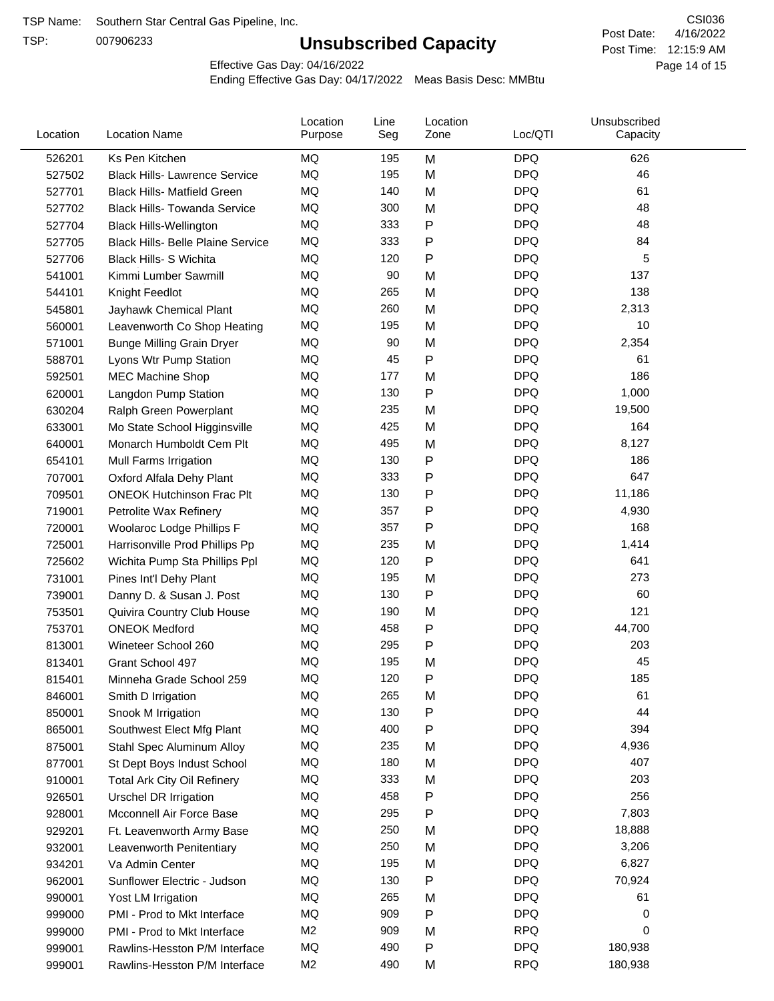TSP:

# **Unsubscribed Capacity**

4/16/2022 Page 14 of 15 Post Time: 12:15:9 AM CSI036 Post Date:

Effective Gas Day: 04/16/2022

| Location | <b>Location Name</b>                     | Location<br>Purpose | Line<br>Seg | Location<br>Zone | Loc/QTI    | Unsubscribed<br>Capacity |  |
|----------|------------------------------------------|---------------------|-------------|------------------|------------|--------------------------|--|
| 526201   | Ks Pen Kitchen                           | MQ                  | 195         | M                | <b>DPQ</b> | 626                      |  |
| 527502   | <b>Black Hills- Lawrence Service</b>     | MQ                  | 195         | M                | <b>DPQ</b> | 46                       |  |
| 527701   | <b>Black Hills- Matfield Green</b>       | MQ                  | 140         | M                | <b>DPQ</b> | 61                       |  |
| 527702   | <b>Black Hills- Towanda Service</b>      | MQ                  | 300         | M                | <b>DPQ</b> | 48                       |  |
| 527704   | <b>Black Hills-Wellington</b>            | MQ                  | 333         | P                | <b>DPQ</b> | 48                       |  |
| 527705   | <b>Black Hills- Belle Plaine Service</b> | MQ                  | 333         | $\mathsf{P}$     | <b>DPQ</b> | 84                       |  |
| 527706   | <b>Black Hills- S Wichita</b>            | <b>MQ</b>           | 120         | $\mathsf{P}$     | <b>DPQ</b> | 5                        |  |
| 541001   | Kimmi Lumber Sawmill                     | MQ                  | 90          | M                | <b>DPQ</b> | 137                      |  |
| 544101   | Knight Feedlot                           | MQ                  | 265         | M                | <b>DPQ</b> | 138                      |  |
| 545801   | Jayhawk Chemical Plant                   | MQ                  | 260         | M                | <b>DPQ</b> | 2,313                    |  |
| 560001   | Leavenworth Co Shop Heating              | MQ                  | 195         | M                | <b>DPQ</b> | 10                       |  |
| 571001   | <b>Bunge Milling Grain Dryer</b>         | MQ                  | 90          | M                | <b>DPQ</b> | 2,354                    |  |
| 588701   | Lyons Wtr Pump Station                   | MQ                  | 45          | P                | <b>DPQ</b> | 61                       |  |
| 592501   | MEC Machine Shop                         | MQ                  | 177         | M                | <b>DPQ</b> | 186                      |  |
| 620001   | Langdon Pump Station                     | MQ                  | 130         | $\mathsf{P}$     | <b>DPQ</b> | 1,000                    |  |
| 630204   | Ralph Green Powerplant                   | MQ                  | 235         | M                | <b>DPQ</b> | 19,500                   |  |
| 633001   | Mo State School Higginsville             | MQ                  | 425         | M                | <b>DPQ</b> | 164                      |  |
| 640001   | Monarch Humboldt Cem Plt                 | MQ                  | 495         | M                | <b>DPQ</b> | 8,127                    |  |
| 654101   | Mull Farms Irrigation                    | MQ                  | 130         | ${\sf P}$        | <b>DPQ</b> | 186                      |  |
| 707001   | Oxford Alfala Dehy Plant                 | MQ                  | 333         | $\mathsf{P}$     | <b>DPQ</b> | 647                      |  |
| 709501   | <b>ONEOK Hutchinson Frac Plt</b>         | MQ                  | 130         | P                | <b>DPQ</b> | 11,186                   |  |
| 719001   | Petrolite Wax Refinery                   | MQ                  | 357         | P                | <b>DPQ</b> | 4,930                    |  |
| 720001   | Woolaroc Lodge Phillips F                | MQ                  | 357         | $\mathsf{P}$     | <b>DPQ</b> | 168                      |  |
| 725001   | Harrisonville Prod Phillips Pp           | MQ                  | 235         | M                | <b>DPQ</b> | 1,414                    |  |
| 725602   | Wichita Pump Sta Phillips Ppl            | MQ                  | 120         | $\mathsf{P}$     | <b>DPQ</b> | 641                      |  |
| 731001   | Pines Int'l Dehy Plant                   | MQ                  | 195         | M                | <b>DPQ</b> | 273                      |  |
| 739001   | Danny D. & Susan J. Post                 | MQ                  | 130         | P                | <b>DPQ</b> | 60                       |  |
| 753501   | Quivira Country Club House               | MQ                  | 190         | M                | <b>DPQ</b> | 121                      |  |
| 753701   | <b>ONEOK Medford</b>                     | MQ                  | 458         | P                | <b>DPQ</b> | 44,700                   |  |
| 813001   | Wineteer School 260                      | MQ                  | 295         | $\mathsf{P}$     | <b>DPQ</b> | 203                      |  |
| 813401   | Grant School 497                         | MQ                  | 195         | M                | <b>DPQ</b> | 45                       |  |
| 815401   | Minneha Grade School 259                 | MQ                  | 120         | P                | <b>DPQ</b> | 185                      |  |
| 846001   | Smith D Irrigation                       | MQ                  | 265         | M                | <b>DPQ</b> | 61                       |  |
| 850001   | Snook M Irrigation                       | MQ                  | 130         | ${\sf P}$        | <b>DPQ</b> | 44                       |  |
| 865001   | Southwest Elect Mfg Plant                | MQ                  | 400         | P                | <b>DPQ</b> | 394                      |  |
| 875001   | Stahl Spec Aluminum Alloy                | MQ                  | 235         | M                | <b>DPQ</b> | 4,936                    |  |
| 877001   | St Dept Boys Indust School               | MQ                  | 180         | M                | <b>DPQ</b> | 407                      |  |
| 910001   | <b>Total Ark City Oil Refinery</b>       | MQ                  | 333         | M                | <b>DPQ</b> | 203                      |  |
| 926501   | Urschel DR Irrigation                    | MQ                  | 458         | P                | <b>DPQ</b> | 256                      |  |
| 928001   | Mcconnell Air Force Base                 | MQ                  | 295         | ${\sf P}$        | <b>DPQ</b> | 7,803                    |  |
| 929201   | Ft. Leavenworth Army Base                | MQ                  | 250         | M                | <b>DPQ</b> | 18,888                   |  |
| 932001   | Leavenworth Penitentiary                 | MQ                  | 250         | M                | <b>DPQ</b> | 3,206                    |  |
| 934201   | Va Admin Center                          | MQ                  | 195         | M                | <b>DPQ</b> | 6,827                    |  |
| 962001   | Sunflower Electric - Judson              | MQ                  | 130         | P                | <b>DPQ</b> | 70,924                   |  |
| 990001   | Yost LM Irrigation                       | MQ                  | 265         | M                | <b>DPQ</b> | 61                       |  |
| 999000   | PMI - Prod to Mkt Interface              | MQ                  | 909         | P                | <b>DPQ</b> | 0                        |  |
| 999000   | PMI - Prod to Mkt Interface              | M <sub>2</sub>      | 909         | M                | <b>RPQ</b> | 0                        |  |
| 999001   | Rawlins-Hesston P/M Interface            | MQ                  | 490         | P                | <b>DPQ</b> | 180,938                  |  |
| 999001   | Rawlins-Hesston P/M Interface            | M <sub>2</sub>      | 490         | M                | <b>RPQ</b> | 180,938                  |  |